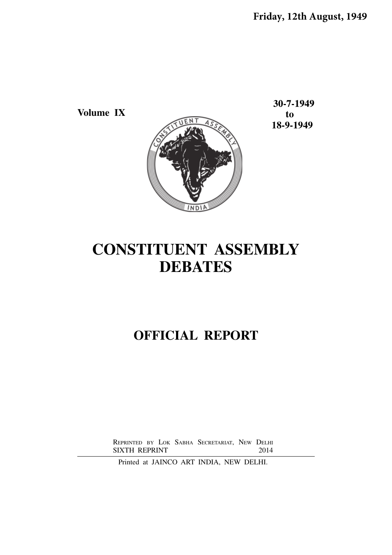**Volume IX to**

30-7-1949  **18-9-1949**



# **CONSTITUENT ASSEMBLY DEBATES**

## **OFFICIAL REPORT**

REPRINTED BY LOK SABHA SECRETARIAT, NEW DELHI<br>SIXTH REPRINT 2014 SIXTH REPRINT

Printed at JAINCO ART INDIA, NEW DELHI.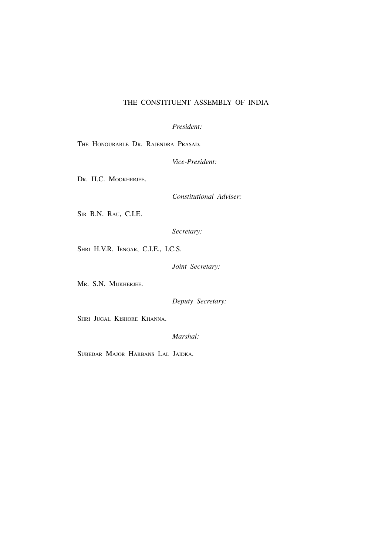## THE CONSTITUENT ASSEMBLY OF INDIA

*President:*

THE HONOURABLE DR. RAJENDRA PRASAD.

*Vice-President:*

DR. H.C. MOOKHERJEE.

*Constitutional Adviser:*

SIR B.N. RAU, C.I.E.

*Secretary:*

SHRI H.V.R. IENGAR, C.I.E., I.C.S.

*Joint Secretary:*

MR. S.N. MUKHERJEE.

*Deputy Secretary:*

SHRI JUGAL KISHORE KHANNA.

*Marshal:*

SUBEDAR MAJOR HARBANS LAL JAIDKA.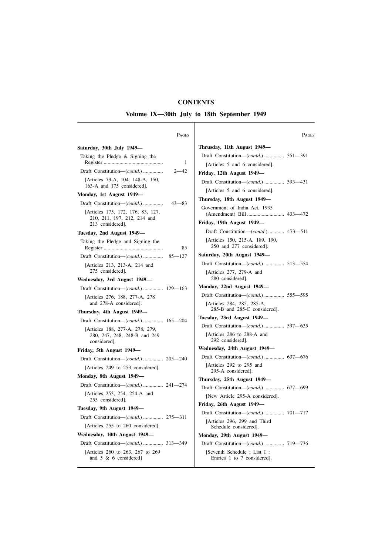## **CONTENTS**

**Volume IX—30th July to 18th September 1949**  $\overline{\phantom{a}}$ 

| PAGES                                                            |                 |
|------------------------------------------------------------------|-----------------|
| Saturday, 30th July 1949-                                        | Thrusda         |
| Taking the Pledge & Signing the                                  | Draft C         |
| 1                                                                | [Artic          |
| Draft Constitution-(contd.)<br>$2 - 42$                          | Friday,         |
| [Articles 79-A, 104, 148-A, 150,<br>163-A and 175 considered].   | Draft C         |
| Monday, 1st August 1949—                                         | [Artic          |
| Draft Constitution—(contd.)<br>$43 - 83$                         | <b>Thursda</b>  |
| [Articles 175, 172, 176, 83, 127,<br>210, 211, 197, 212, 214 and | Governi<br>(Ame |
| 213 considered].                                                 | Friday,         |
| Tuesday, 2nd August 1949-                                        | Draft           |
| Taking the Pledge and Signing the<br>85                          | [Artic<br>250   |
|                                                                  | Saturday        |
| [Articles 213, 213-A, 214 and                                    | Draft C         |
| 275 considered].<br>Wednesday, 3rd August 1949-                  | [Artic<br>280   |
| Draft Constitution—( <i>contd.</i> )  129—163                    | Monday,         |
| [Articles 276, 188, 277-A, 278                                   | Draft C         |
| and 278-A considered].<br>Thursday, 4th August 1949-             | [Artic<br>285   |
| Draft Constitution—( <i>contd.</i> )  165—204                    | Tuesday,        |
| [Articles 188, 277-A, 278, 279,                                  | Draft C         |
| 280, 247, 248, 248-B and 249<br>considered].                     | [Artic<br>292   |
| Friday, 5th August 1949—                                         | Wednesd         |
| Draft Constitution-(contd.)  205-240                             | Draft C         |
| [Articles 249 to 253 considered].                                | [Artic<br>295   |
| Monday, 8th August 1949—                                         | <b>Thursda</b>  |
| Draft Constitution-( <i>contd.</i> )  241-274                    | Draft C         |
| [Articles 253, 254, 254-A and<br>255 considered].                | [New            |
| Tuesday, 9th August 1949-                                        | Friday,         |
| Draft Constitution—( <i>contd.</i> )  275—311                    | Draft C         |
| [Articles 255 to 260 considered].                                | [Artic<br>Sch   |
| Wednesday, 10th August 1949-                                     | Monday,         |
| Draft Constitution-(contd.)  313-349                             | Draft C         |
|                                                                  | [Seve           |

| Pages  | PAGES                                                       |
|--------|-------------------------------------------------------------|
|        | Thrusday, 11th August 1949-                                 |
|        | Draft Constitution-(contd.)  351-391                        |
| 1      | [Articles 5 and 6 considered].                              |
| 42     | Friday, 12th August 1949—                                   |
|        | Draft Constitution-( <i>contd.</i> )  393-431               |
|        | [Articles 5 and 6 considered].                              |
| $-83$  | Thursday, 18th August 1949—                                 |
|        | Government of India Act, 1935                               |
|        | Friday, 19th August 1949-                                   |
|        | Draft Constitution—( <i>contd.</i> ) 473—511                |
| 85     | [Articles 150, 215-A, 189, 190,<br>250 and 277 considered]. |
| $-127$ | Saturday, 20th August 1949–                                 |
|        | Draft Constitution-( <i>contd.</i> )  513-554               |
|        | [Articles 277, 279-A and<br>280 considered].                |
| -163   | Monday, 22nd August 1949-                                   |
|        | Draft Constitution-(contd.)  555-595                        |
|        | [Articles 284, 285, 285-A,<br>285-B and 285-C considered].  |
| $-204$ | Tuesday, 23rd August 1949-                                  |
|        | Draft Constitution-(contd.)  597-635                        |
|        | [Articles 286 to 288-A and<br>292 considered].              |
|        | Wednesday, 24th August 1949—                                |
| -240   | Draft Constitution-(contd.)  637-676                        |
|        | [Articles 292 to 295 and<br>295-A considered].              |
| -274   | Thursday, 25th August 1949—                                 |
|        | Draft Constitution-(contd.)  677-699                        |
|        | [New Article 295-A considered].                             |
|        | Friday, 26th August 1949-                                   |
| -311   | Draft Constitution-(contd.)  701-717                        |
|        | [Articles 296, 299 and Third<br>Schedule considered].       |
|        | Monday, 29th August 1949—                                   |
| -349   |                                                             |
|        | [Seventh Schedule : List I :<br>Entries 1 to 7 considered]. |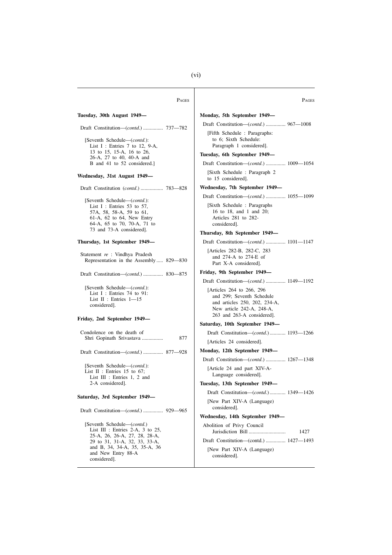| PAGES                                                                                                              | <b>PAGES</b>                                                                                                                                        |
|--------------------------------------------------------------------------------------------------------------------|-----------------------------------------------------------------------------------------------------------------------------------------------------|
| Tuesday, 30th August 1949—                                                                                         | Monday, 5th September 1949—                                                                                                                         |
|                                                                                                                    | Draft Constitution-( <i>contd.</i> )  967-1008                                                                                                      |
| [Seventh Schedule-(contd.):<br>List I : Entries 7 to 12, 9-A,                                                      | [Fifth Schedule: Paragraphs:<br>to 6; Sixth Schedule:<br>Paragraph 1 considered].                                                                   |
| 13 to 15, 15-A, 16 to 26,<br>26-A, 27 to 40, 40-A and                                                              | Tuesday, 6th September 1949—                                                                                                                        |
| B and 41 to 52 considered.]                                                                                        | Draft Constitution—( <i>contd.</i> )  1009—1054                                                                                                     |
| Wednesday, 31st August 1949—                                                                                       | [Sixth Schedule: Paragraph 2<br>to 15 considered].                                                                                                  |
|                                                                                                                    | Wednesday, 7th September 1949—                                                                                                                      |
| [Seventh Schedule—(contd.):                                                                                        | Draft Constitution—( <i>contd.</i> )  1055—1099                                                                                                     |
| List I : Entries 53 to 57,<br>57A, 58, 58-A, 59 to 61,<br>61-A, 62 to 64, New Entry<br>64-A, 65 to 70, 70-A, 71 to | [Sixth Schedule: Paragraphs]<br>16 to 18, and 1 and 20;<br>Articles 281 to 282-<br>considered].                                                     |
| 73 and 73-A considered].                                                                                           | Thursday, 8th September 1949—                                                                                                                       |
| Thursday, 1st September 1949—                                                                                      | Draft Constitution-( <i>contd.</i> )  1101-1147                                                                                                     |
| Statement re : Vindhya Pradesh<br>Representation in the Assembly 829–830                                           | [Articles 282-B, 282-C, 283<br>and 274-A to 274-E of<br>Part X-A considered].                                                                       |
| Draft Constitution—( <i>contd.</i> )  830—875                                                                      | Friday, 9th September 1949—                                                                                                                         |
|                                                                                                                    | Draft Constitution—( <i>contd.</i> )  1149—1192                                                                                                     |
| [Seventh Schedule-(contd.):<br>List $I$ : Entries 74 to 91:<br>List $II$ : Entries $1-15$<br>considered].          | [Articles 264 to 266, 296]<br>and 299; Seventh Schedule<br>and articles 250, 202, 234-A,<br>New article 242-A, 248-A,<br>263 and 263-A considered]. |
| Friday, 2nd September 1949—                                                                                        | Saturday, 10th September 1949—                                                                                                                      |
| Condolence on the death of                                                                                         | Draft Constitution—( <i>contd.</i> ) 1193—1266                                                                                                      |
| Shri Gopinath Srivastava<br>877                                                                                    | [Articles 24 considered].                                                                                                                           |
| Draft Constitution—( <i>contd.</i> )  877—928                                                                      | Monday, 12th September 1949—                                                                                                                        |
|                                                                                                                    | Draft Constitution—( <i>contd.</i> )  1267—1348                                                                                                     |
| [Seventh Schedule-(contd.):<br>List $II$ : Entries 15 to 67;<br>List III : Entries 1, 2 and                        | [Article 24 and part XIV-A-<br>Language considered].                                                                                                |
| 2-A considered].                                                                                                   | Tuesday, 13th September 1949-                                                                                                                       |
| Saturday, 3rd September 1949—                                                                                      | Draft Constitution-( <i>contd.</i> ) 1349-1426                                                                                                      |
|                                                                                                                    | [New Part XIV-A (Language)<br>considered].                                                                                                          |
|                                                                                                                    | Wednesday, 14th September 1949-                                                                                                                     |
| [Seventh Schedule-(contd.)<br>List III : Entries 2-A, 3 to 25,                                                     | Abolition of Privy Council<br>1427                                                                                                                  |
| 25-A, 26, 26-A, 27, 28, 28-A,<br>29 to 31, 31-A, 32, 33, 33-A,                                                     | Draft Constitution—(contd.)  1427—1493                                                                                                              |
| and B, 34, 34-A, 35, 35-A, 36<br>and New Entry 88-A<br>considered].                                                | [New Part XIV-A (Language)<br>considered].                                                                                                          |

(vi)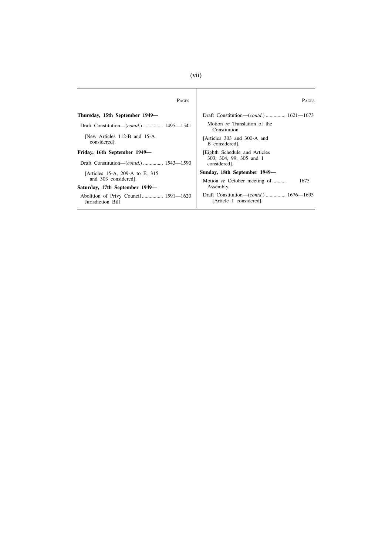| <b>PAGES</b>                                               | <b>PAGES</b>                                                               |
|------------------------------------------------------------|----------------------------------------------------------------------------|
| Thursday, 15th September 1949—                             | Draft Constitution—( <i>contd.</i> )  1621—1673                            |
| Draft Constitution—( <i>contd.</i> )  1495—1541            | Motion re Translation of the<br>Constitution.                              |
| [New Articles 112-B and 15-A<br>considered].               | [Articles 303 and 300-A and<br>B considered.                               |
| Friday, 16th September 1949—                               | <b>Eighth Schedule and Articles</b>                                        |
| Draft Constitution—( <i>contd.</i> )  1543—1590            | 303, 304, 99, 305 and 1<br>considered].                                    |
| [Articles 15-A, 209-A to E, 315                            | Sunday, 18th September 1949—                                               |
| and 303 considered].                                       | 1675<br>Motion re October meeting of                                       |
| Saturday, 17th September 1949—                             | Assembly.                                                                  |
| Abolition of Privy Council  1591—1620<br>Jurisdiction Bill | Draft Constitution—( <i>contd.</i> )  1676—1693<br>[Article 1 considered]. |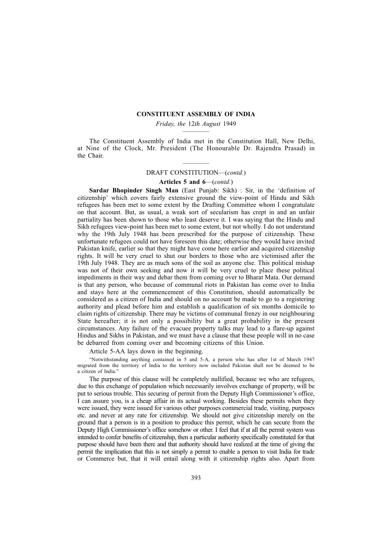## **CONSTITUENT ASSEMBLY OF INDIA**

## *Friday, the* 12*th August* 1949 ————

The Constituent Assembly of India met in the Constitution Hall, New Delhi, at Nine of the Clock, Mr. President (The Honourable Dr. Rajendra Prasad) in the Chair.

## ———— DRAFT CONSTITUTION—(*contd.*)

#### **Articles 5 and 6**—(*contd.*)

**Sardar Bhopinder Singh Man** (East Punjab: Sikh) : Sir, in the 'definition of citizenship' which covers fairly extensive ground the view-point of Hindu and Sikh refugees has been met to some extent by the Drafting Committee whom I congratulate on that account. But, as usual, a weak sort of secularism has crept in and an unfair partiality has been shown to those who least deserve it. I was saying that the Hindu and Sikh refugees view-point has been met to some extent, but not wholly. I do not understand why the 19th July 1948 has been prescribed for the purpose of citizenship. These unfortunate refugees could not have foreseen this date; otherwise they would have invited Pakistan knife, earlier so that they might have come here earlier and acquired citizenship rights. It will be very cruel to shut our borders to those who are victimised after the 19th July 1948. They are as much sons of the soil as anyone else. This political mishap was not of their own seeking and now it will be very cruel to place these political impediments in their way and debar them from coming over to Bharat Mata. Our demand is that any person, who because of communal riots in Pakistan has come over to India and stays here at the commencement of this Constitution, should automatically be considered as a citizen of India and should on no account be made to go to a registering authority and plead before him and establish a qualification of six months domicile to claim rights of citizenship. There may be victims of communal frenzy in our neighbouring State hereafter; it is not only a possibility but a great probability in the present circumstances. Any failure of the evacuee property talks may lead to a flare-up against Hindus and Sikhs in Pakistan, and we must have a clause that these people will in no case be debarred from coming over and becoming citizens of this Union.

Article 5-AA lays down in the beginning.

"Notwithstanding anything contained in 5 and 5-A, a person who has after 1st of March 1947 migrated from the territory of India to the territory now included Pakistan shall not be deemed to be a citizen of India."

The purpose of this clause will be completely nullified, because we who are refugees, due to this exchange of population which necessarily involves exchange of property, will be put to serious trouble. This securing of permit from the Deputy High Commissioner's office, I can assure you, is a cheap affair in its actual working. Besides these permits when they were issued, they were issued for various other purposes commercial trade, visiting, purposes etc. and never at any rate for citizenship. We should not give citizenship merely on the ground that a person is in a position to produce this permit, which he can secure from the Deputy High Commissioner's office somehow or other. I feel that if at all the permit system was intended to confer benefits of citizenship, then a particular authority specifically constituted for that purpose should have been there and that authority should have realized at the time of giving the permit the implication that this is not simply a permit to enable a person to visit India for trade or Commerce but, that it will entail along with it citizenship rights also. Apart from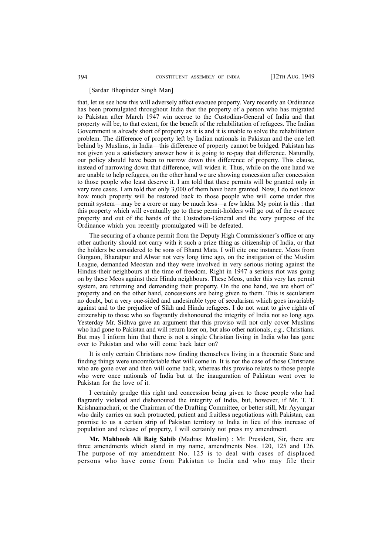#### [Sardar Bhopinder Singh Man]

that, let us see how this will adversely affect evacuee property. Very recently an Ordinance has been promulgated throughout India that the property of a person who has migrated to Pakistan after March 1947 win accrue to the Custodian-General of India and that property will be, to that extent, for the benefit of the rehabilitation of refugees. The Indian Government is already short of property as it is and it is unable to solve the rehabilitation problem. The difference of property left by Indian nationals in Pakistan and the one left behind by Muslims, in India—this difference of property cannot be bridged. Pakistan has not given you a satisfactory answer how it is going to re-pay that difference. Naturally, our policy should have been to narrow down this difference of property. This clause, instead of narrowing down that difference, will widen it. Thus, while on the one hand we are unable to help refugees, on the other hand we are showing concession after concession to those people who least deserve it. I am told that these permits will be granted only in very rare cases. I am told that only 3,000 of them have been granted. Now, I do not know how much property will be restored back to those people who will come under this permit system—may be a crore or may be much less—a few lakhs. My point is this : that this property which will eventually go to these permit-holders will go out of the evacuee property and out of the hands of the Custodian-General and the very purpose of the Ordinance which you recently promulgated will be defeated.

The securing of a chance permit from the Deputy High Commissioner's office or any other authority should not carry with it such a prize thing as citizenship of India, or that the holders be considered to be sons of Bharat Mata. I will cite one instance. Meos from Gurgaon, Bharatpur and Alwar not very long time ago, on the instigation of the Muslim League, demanded Meostan and they were involved in very serious rioting against the Hindus-their neighbours at the time of freedom. Right in 1947 a serious riot was going on by these Meos against their Hindu neighbours. These Meos, under this very lax permit system, are returning and demanding their property. On the one hand, we are short of' property and on the other hand, concessions are being given to them. This is secularism no doubt, but a very one-sided and undesirable type of secularism which goes invariably against and to the prejudice of Sikh and Hindu refugees. I do not want to give rights of citizenship to those who so flagrantly dishonoured the integrity of India not so long ago. Yesterday Mr. Sidhva gave an argument that this proviso will not only cover Muslims who had gone to Pakistan and will return later on, but also other nationals, *e.g.,* Christians. But may I inform him that there is not a single Christian living in India who has gone over to Pakistan and who will come back later on?

It is only certain Christians now finding themselves living in a theocratic State and finding things were uncomfortable that will come in. It is not the case of those Christians who are gone over and then will come back, whereas this proviso relates to those people who were once nationals of India but at the inauguration of Pakistan went over to Pakistan for the love of it.

I certainly grudge this right and concession being given to those people who had flagrantly violated and dishonoured the integrity of India, but, however, if Mr. T. T. Krishnamachari, or the Chairman of the Drafting Committee, or better still, Mr. Ayyangar who daily carries on such protracted, patient and fruitless negotiations with Pakistan, can promise to us a certain strip of Pakistan territory to India in lieu of this increase of population and release of property, I will certainly not press my amendment.

**Mr. Mahboob Ali Baig Sahib** (Madras: Muslim) : Mr. President, Sir, there are three amendments which stand in my name, amendments Nos. 120, 125 and 126. The purpose of my amendment No. 125 is to deal with cases of displaced persons who have come from Pakistan to India and who may file their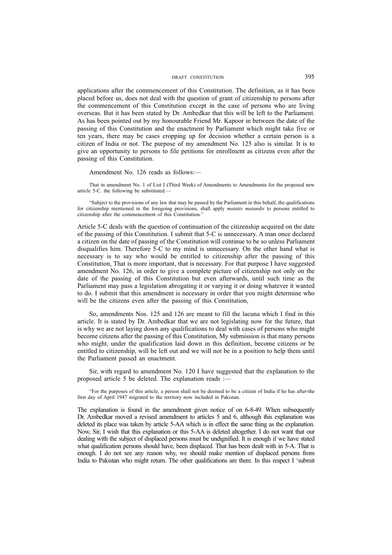applications after the commencement of this Constitution. The definition, as it has been placed before us, does not deal with the question of grant of citizenship to persons after the commencement of this Constitution except in the case of persons who are living overseas. But it has been stated by Dr. Ambedkar that this will be left to the Parliament. As has been pointed out by my honourable Friend Mr. Kapoor in between the date of the passing of this Constitution and the enactment by Parliament which might take five or ten years, there may be cases cropping up for decision whether a certain person is a citizen of India or not. The purpose of my amendment No. 125 also is similar. It is to give an opportunity to persons to file petitions for enrollment as citizens even after the passing of this Constitution.

Amendment No. 126 reads as follows:—

That in amendment No. 1 of List I (Third Week) of Amendments to Amendments for the proposed new article 5-C. the following be substituted:—

"Subject to the provisions of any law that may be passed by the Parliament in this behalf, the qualifications for citizenship mentioned in the foregoing provisions, shall apply *mutatis mutandis* to persons entitled to citizenship after the commencement of this Constitution."

Article 5-C deals with the question of continuation of the citizenship acquired on the date of the passing of this Constitution. I submit that 5-C is unnecessary. A man once declared a citizen on the date of passing of the Constitution will continue to be so unless Parliament disqualifies him. Therefore 5-C to my mind is unnecessary. On the other hand what is necessary is to say who would be entitled to citizenship after the passing of this Constitution, That is more important, that is necessary. For that purpose I have suggested amendment No. 126, in order to give a complete picture of citizenship not only on the date of the passing of this Constitution but even afterwards, until such time as the Parliament may pass a legislation abrogating it or varying it or doing whatever it wanted to do. I submit that this amendment is necessary in order that you might determine who will be the citizens even after the passing of this Constitution,

So, amendments Nos. 125 and 126 are meant to fill the lacuna which I find in this article. It is stated by Dr. Ambedkar that we are not legislating now for the future, that is why we are not laying down any qualifications to deal with cases of persons who might become citizens after the passing of this Constitution, My submission is that many persons who might, under the qualification laid down in this definition, become citizens or be entitled to citizenship, will be left out and we will not be in a position to help them until the Parliament passed an enactment.

Sir, with regard to amendment No. 120 I have suggested that the explanation to the proposed article 5 be deleted. The explanation reads :—

"For the purposes of this article, a person shall not be deemed to be a citizen of India if he has after-the first day of April 1947 migrated to the territory now included in Pakistan.

The explanation is found in the amendment given notice of on 6-8-49. When subsequently Dr. Ambedkar moved a revised amendment to articles 5 and 6, although this explanation was deleted its place was taken by article 5-AA which is in effect the same thing as the explanation. Now, Sir, I wish that this explanation or this 5-AA is deleted altogether. I do not want that our dealing with the subject of displaced persons must be undignified. It is enough if we have stated what qualification persons should have, been displaced. That has been dealt with in 5-A. That is enough. I do not see any reason why, we should make mention of displaced persons from India to Pakistan who might return. The other qualifications are there. In this respect I 'submit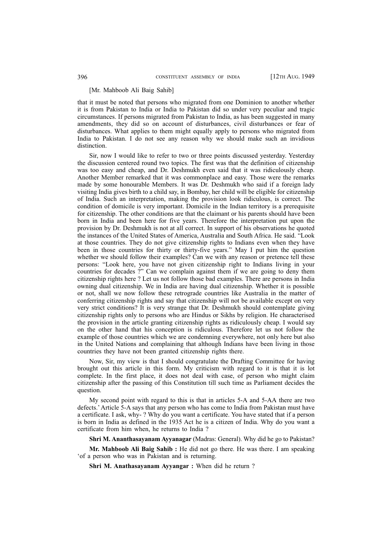### [Mr. Mahboob Ali Baig Sahib]

that it must be noted that persons who migrated from one Dominion to another whether it is from Pakistan to India or India to Pakistan did so under very peculiar and tragic circumstances. If persons migrated from Pakistan to India, as has been suggested in many amendments, they did so on account of disturbances, civil disturbances or fear of disturbances. What applies to them might equally apply to persons who migrated from India to Pakistan. I do not see any reason why we should make such an invidious distinction.

Sir, now I would like to refer to two or three points discussed yesterday. Yesterday the discussion centered round two topics. The first was that the definition of citizenship was too easy and cheap, and Dr. Deshmukh even said that it was ridiculously cheap. Another Member remarked that it was commonplace and easy. Those were the remarks made by some honourable Members. It was Dr. Deshmukh who said if a foreign lady visiting India gives birth to a child say, in Bombay, her child will be eligible for citizenship of India. Such an interpretation, making the provision look ridiculous, is correct. The condition of domicile is very important. Domicile in the Indian territory is a prerequisite for citizenship. The other conditions are that the claimant or his parents should have been born in India and been here for five years. Therefore the interpretation put upon the provision by Dr. Deshmukh is not at all correct. In support of his observations he quoted the instances of the United States of America, Australia and South Africa. He said. "Look at those countries. They do not give citizenship rights to Indians even when they have been in those countries for thirty or thirty-five years." May I put him the question whether we should follow their examples? Can we with any reason or pretence tell these persons: "Look here, you have not given citizenship right to Indians living in your countries for decades ?" Can we complain against them if we are going to deny them citizenship rights here ? Let us not follow those bad examples. There are persons in India owning dual citizenship. We in India are having dual citizenship. Whether it is possible or not, shall we now follow these retrograde countries like Australia in the matter of conferring citizenship rights and say that citizenship will not be available except on very very strict conditions? It is very strange that Dr. Deshmukh should contemplate giving citizenship rights only to persons who are Hindus or Sikhs by religion. He characterised the provision in the article granting citizenship rights as ridiculously cheap. I would say on the other hand that his conception is ridiculous. Therefore let us not follow the example of those countries which we are condemning everywhere, not only here but also in the United Nations and complaining that although Indians have been living in those countries they have not been granted citizenship rights there.

Now, Sir, my view is that I should congratulate the Drafting Committee for having brought out this article in this form. My criticism with regard to it is that it is lot complete. In the first place, it does not deal with case, of person who might claim citizenship after the passing of this Constitution till such time as Parliament decides the question.

My second point with regard to this is that in articles 5-A and 5-AA there are two defects.' Article 5-A says that any person who has come to India from Pakistan must have a certificate. I ask, why- ? Why do you want a certificate. You have stated that if a person is born in India as defined in the 1935 Act he is a citizen of India. Why do you want a certificate from him when, he returns to India ?

**Shri M. Ananthasayanam Ayyanagar** (Madras: General). Why did he go to Pakistan?

**Mr. Mahboob Ali Baig Sahib :** He did not go there. He was there. I am speaking 'of a person who was in Pakistan and is returning.

**Shri M. Anathasayanam Ayyangar :** When did he return ?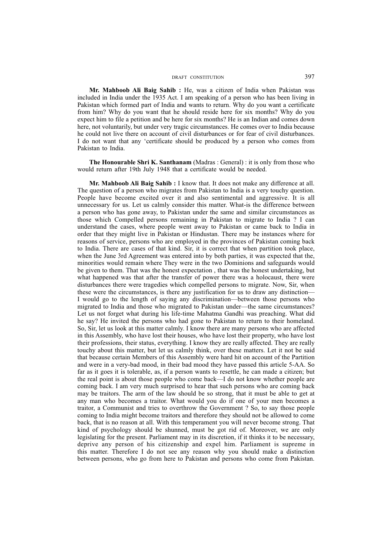**Mr. Mahboob Ali Baig Sahib :** He, was a citizen of India when Pakistan was included in India under the 1935 Act. I am speaking of a person who has been living in Pakistan which formed part of India and wants to return. Why do you want a certificate from him? Why do you want that he should reside here for six months? Why do you expect him to file a petition and be here for six months? He is an Indian and comes down here, not voluntarily, but under very tragic circumstances. He comes over to India because he could not live there on account of civil disturbances or for fear of civil disturbances. I do not want that any 'certificate should be produced by a person who comes from Pakistan to India.

**The Honourable Shri K. Santhanam** (Madras : General) : it is only from those who would return after 19th July 1948 that a certificate would be needed.

**Mr. Mahboob Ali Baig Sahib :** I know that. It does not make any difference at all. The question of a person who migrates from Pakistan to India is a very touchy question. People have become excited over it and also sentimental and aggressive. It is all unnecessary for us. Let us calmly consider this matter. What-is the difference between a person who has gone away, to Pakistan under the same and similar circumstances as those which Compelled persons remaining in Pakistan to migrate to India ? I can understand the cases, where people went away to Pakistan or came back to India in order that they might live in Pakistan or Hindustan. There may be instances where for reasons of service, persons who are employed in the provinces of Pakistan coming back to India. There are cases of that kind. Sir, it is correct that when partition took place, when the June 3rd Agreement was entered into by both parties, it was expected that the, minorities would remain where They were in the two Dominions and safeguards would be given to them. That was the honest expectation , that was the honest undertaking, but what happened was that after the transfer of power there was a holocaust, there were disturbances there were tragedies which compelled persons to migrate. Now, Sir, when these were the circumstances, is there any justification for us to draw any distinction— I would go to the length of saying any discrimination—between those persons who migrated to India and those who migrated to Pakistan under—the same circumstances? Let us not forget what during his life-time Mahatma Gandhi was preaching. What did he say? He invited the persons who had gone to Pakistan to return to their homeland. So, Sir, let us look at this matter calmly. I know there are many persons who are affected in this Assembly, who have lost their houses, who have lost their property, who have lost their professions, their status, everything. I know they are really affected. They are really touchy about this matter, but let us calmly think, over these matters. Let it not be said that because certain Members of this Assembly were hard hit on account of the Partition and were in a very-bad mood, in their bad mood they have passed this article 5-AA. So far as it goes it is tolerable, as, if a person wants to resettle, he can made a citizen; but the real point is about those people who come back—I do not know whether people are coming back. I am very much surprised to hear that such persons who are coming back may be traitors. The arm of the law should be so strong, that it must be able to get at any man who becomes a traitor. What would you do if one of your men becomes a traitor, a Communist and tries to overthrow the Government ? So, to say those people coming to India might become traitors and therefore they should not be allowed to come back, that is no reason at all. With this temperament you will never become strong. That kind of psychology should be shunned, must be got rid of. Moreover, we are only legislating for the present. Parliament may in its discretion, if it thinks it to be necessary, deprive any person of his citizenship and expel him. Parliament is supreme in this matter. Therefore I do not see any reason why you should make a distinction between persons, who go from here to Pakistan and persons who come from Pakistan.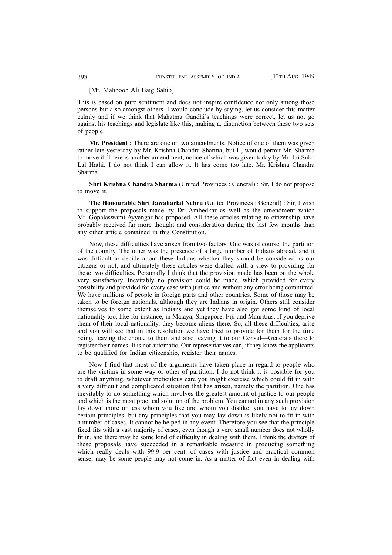## [Mr. Mahboob Ali Baig Sahib]

This is based on pure sentiment and does not inspire confidence not only among those persons but also amongst others. I would conclude by saying, let us consider this matter calmly and if we think that Mahatma Gandhi's teachings were correct, let us not go against his teachings and legislate like this, making a, distinction between these two sets of people.

**Mr. President :** There are one or two amendments. Notice of one of them was given rather late yesterday by Mr. Krishna Chandra Sharma, but I , would permit Mr. Sharma to move it. There is another amendment, notice of which was given today by Mr. Jai Sukh Lal Hathi. I do not think I can allow it. It has come too late. Mr. Krishna Chandra Sharma.

**Shri Krishna Chandra Sharma** (United Provinces : General) : Sir, I do not propose to move it.

**The Honourable Shri Jawaharlal Nehru** (United Provinces : General) : Sir, I wish to support the proposals made by Dr. Ambedkar as well as the amendment which Mr. Gopalaswami Ayyangar has proposed. All these articles relating to citizenship have probably received far more thought and consideration during the last few months than any other article contained in this Constitution.

Now, these difficulties have arisen from two factors. One was of course, the partition of the country. The other was the presence of a large number of Indians abroad, and it was difficult to decide about these Indians whether they should be considered as our citizens or not, and ultimately these articles were drafted with a view to providing for these two difficulties. Personally I think that the provision made has been on the whole very satisfactory. Inevitably no provision could be made, which provided for every possibility and provided for every case with justice and without any error being committed. We have millions of people in foreign parts and other countries. Some of those may be taken to be foreign nationals, although they are Indians in origin. Others still consider themselves to some extent as Indians and yet they have also got some kind of local nationality too, like for instance, in Malaya, Singapore, Fiji and Mauritius. If you deprive them of their local nationality, they become aliens there. So, all these difficulties, arise and you will see that in this resolution we have tried to provide for them for the time being, leaving the choice to them and also leaving it to our Consul—Generals there to register their names. It is not automatic. Our representatives can, if they know the applicants to be qualified for Indian citizenship, register their names.

Now I find that most of the arguments have taken place in regard to people who are the victims in some way or other of partition. I do not think it is possible for you to draft anything, whatever meticulous care you might exercise which could fit in with a very difficult and complicated situation that has arisen, namely the partition. One has inevitably to do something which involves the greatest amount of justice to our people and which is the most practical solution of the problem. You cannot in any such provision lay down more or less whom you like and whom you dislike; you have to lay down certain principles, but any principles that you may lay down is likely not to fit in with a number of cases. It cannot be helped in any event. Therefore you see that the principle fixed fits with a vast majority of cases, even though a very small number does not wholly fit in, and there may be some kind of difficulty in dealing with them. I think the drafters of these proposals have succeeded in a remarkable measure in producing something which really deals with 99.9 per cent. of cases with justice and practical common sense; may be some people may not come in. As a matter of fact even in dealing with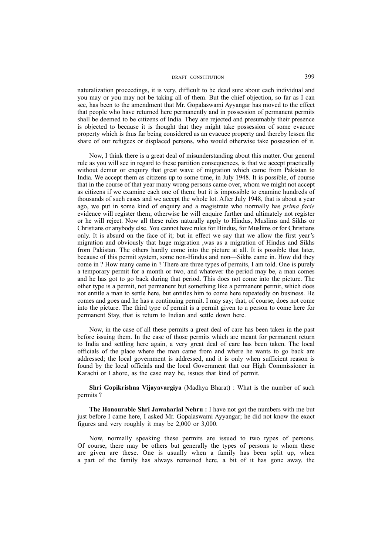naturalization proceedings, it is very, difficult to be dead sure about each individual and you may or you may not be taking all of them. But the chief objection, so far as I can see, has been to the amendment that Mr. Gopalaswami Ayyangar has moved to the effect that people who have returned here permanently and in possession of permanent permits shall be deemed to be citizens of India. They are rejected and presumably their presence is objected to because it is thought that they might take possession of some evacuee property which is thus far being considered as an evacuee property and thereby lessen the share of our refugees or displaced persons, who would otherwise take possession of it.

Now, I think there is a great deal of misunderstanding about this matter. Our general rule as you will see in regard to these partition consequences, is that we accept practically without demur or enquiry that great wave of migration which came from Pakistan to India. We accept them as citizens up to some time, in July 1948. It is possible, of course that in the course of that year many wrong persons came over, whom we might not accept as citizens if we examine each one of them; but it is impossible to examine hundreds of thousands of such cases and we accept the whole lot. After July 1948, that is about a year ago, we put in some kind of enquiry and a magistrate who normally has *prima facie* evidence will register them; otherwise he will enquire further and ultimately not register or he will reject. Now all these rules naturally apply to Hindus, Muslims and Sikhs or Christians or anybody else. You cannot have rules for Hindus, for Muslims or for Christians only. It is absurd on the face of it; but in effect we say that we allow the first year's migration and obviously that huge migration ,was as a migration of Hindus and Sikhs from Pakistan. The others hardly come into the picture at all. It is possible that later, because of this permit system, some non-Hindus and non—Sikhs came in. How did they come in ? How many came in ? There are three types of permits, I am told. One is purely a temporary permit for a month or two, and whatever the period may be, a man comes and he has got to go back during that period. This does not come into the picture. The other type is a permit, not permanent but something like a permanent permit, which does not entitle a man to settle here, but entitles him to come here repeatedly on business. He comes and goes and he has a continuing permit. I may say; that, of course, does not come into the picture. The third type of permit is a permit given to a person to come here for permanent Stay, that is return to Indian and settle down here.

Now, in the case of all these permits a great deal of care has been taken in the past before issuing them. In the case of those permits which are meant for permanent return to India and settling here again, a very great deal of care has been taken. The local officials of the place where the man came from and where he wants to go back are addressed; the local government is addressed, and it is only when sufficient reason is found by the local officials and the local Government that our High Commissioner in Karachi or Lahore, as the case may be, issues that kind of permit.

**Shri Gopikrishna Vijayavargiya** (Madhya Bharat) : What is the number of such permits ?

**The Honourable Shri Jawaharlal Nehru :** I have not got the numbers with me but just before I came here, I asked Mr. Gopalaswami Ayyangar; he did not know the exact figures and very roughly it may be 2,000 or 3,000.

Now, normally speaking these permits are issued to two types of persons. Of course, there may be others but generally the types of persons to whom these are given are these. One is usually when a family has been split up, when a part of the family has always remained here, a bit of it has gone away, the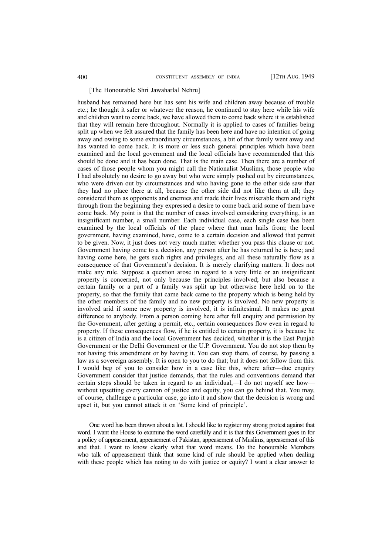#### [The Honourable Shri Jawaharlal Nehru]

husband has remained here but has sent his wife and children away because of trouble etc.; he thought it safer or whatever the reason, he continued to stay here while his wife and children want to come back, we have allowed them to come back where it is established that they will remain here throughout. Normally it is applied to cases of families being split up when we felt assured that the family has been here and have no intention of going away and owing to some extraordinary circumstances, a bit of that family went away and has wanted to come back. It is more or less such general principles which have been examined and the local government and the local officials have recommended that this should be done and it has been done. That is the main case. Then there are a number of cases of those people whom you might call the Nationalist Muslims, those people who I had absolutely no desire to go away but who were simply pushed out by circumstances, who were driven out by circumstances and who having gone to the other side saw that they had no place there at all, because the other side did not like them at all; they considered them as opponents and enemies and made their lives miserable them and right through from the beginning they expressed a desire to come back arid some of them have come back. My point is that the number of cases involved considering everything, is an insignificant number, a small number. Each individual case, each single case has been examined by the local officials of the place where that man hails from; the local government, having examined, have, come to a certain decision and allowed that permit to be given. Now, it just does not very much matter whether you pass this clause or not. Government having come to a decision, any person after he has returned he is here; and having come here, he gets such rights and privileges, and all these naturally flow as a consequence of that Government's decision. It is merely clarifying matters. It does not make any rule. Suppose a question arose in regard to a very little or an insignificant property is concerned, not only because the principles involved; but also because a certain family or a part of a family was split up but otherwise here held on to the property, so that the family that came back came to the property which is being held by the other members of the family and no new property is involved. No new property is involved arid if some new property is involved, it is infinitesimal. It makes no great difference to anybody. From a person coming here after full enquiry and permission by the Government, after getting a permit, etc., certain consequences flow even in regard to property. If these consequences flow, if he is entitled to certain property, it is because he is a citizen of India and the local Government has decided, whether it is the East Punjab Government or the Delhi Government or the U.P. Government. You do not stop them by not having this amendment or by having it. You can stop them, of course, by passing a law as a sovereign assembly. It is open to you to do that; but it does not follow from this. I would beg of you to consider how in a case like this, where after—due enquiry Government consider that justice demands, that the rules and conventions demand that certain steps should be taken in regard to an individual,—I do not myself see how without upsetting every cannon of justice and equity, you can go behind that. You may, of course, challenge a particular case, go into it and show that the decision is wrong and upset it, but you cannot attack it on 'Some kind of principle'.

One word has been thrown about a lot. I should like to register my strong protest against that word. I want the House to examine the word carefully and it is that this Government goes in for a policy of appeasement, appeasement of Pakistan, appeasement of Muslims, appeasement of this and that. I want to know clearly what that word means. Do the honourable Members who talk of appeasement think that some kind of rule should be applied when dealing with these people which has noting to do with justice or equity? I want a clear answer to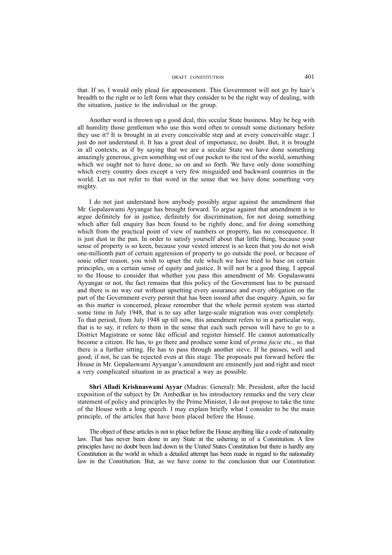that. If so, I would only plead for appeasement. This Government will not go by hair's breadth to the right or to left form what they consider to be the right way of dealing, with the situation, justice to the individual or the group.

Another word is thrown up a good deal, this secular State business. May be beg with all humility those gentlemen who use this word often to consult some dictionary before they use it? It is brought in at every conceivable step and at every conceivable stage. I just do not understand it. It has a great deal of importance, no doubt. But, it is brought in all contexts, as if by saying that we are a secular State we have done something amazingly generous, given something out of our pocket to the rest of the world, something which we ought not to have done, so on and so forth. We have only done something which every country does except a very few misguided and backward countries in the world. Let us not refer to that word in the sense that we have done something very mighty.

I do not just understand how anybody possibly argue against the amendment that Mr. Gopalaswami Ayyangar has brought forward. To argue against that amendment is to argue definitely for in justice, definitely for discrimination, for not doing something which after full enquiry has been found to be rightly done, and for doing something which from the practical point of view of numbers or property, has no consequence. It is just dust in the pan. In order to satisfy yourself about that little thing, because your sense of property is so keen, because your vested interest is so keen that you do not wish one-millionth part of certain aggression of property to go outside the pool, or because of sonic other reason, you wish to upset the rule which we have tried to base on certain principles, on a certain sense of equity and justice. It will not be a good thing. I appeal to the House to consider that whether you pass this amendment of Mr. Gopalaswami Ayyangar or not, the fact remains that this policy of the Government has to be pursued and there is no way out without upsetting every assurance and every obligation on the part of the Government every permit that has been issued after due enquiry. Again, so far as this matter is concerned, please remember that the whole permit system was started some time in July 1948, that is to say after large-scale migration was over completely. To that period, from July 1948 up till now, this amendment refers to in a particular way, that is to say, it refers to them in the sense that each such person will have to go to a District Magistrate or some like official and register himself. He cannot automatically become a citizen. He has, to go there and produce some kind of *prima facie* etc., so that there is a further sitting. He has to pass through another sieve. If he passes, well and good; if not, he can be rejected even at this stage. The proposals put forward before the House in Mr. Gopalaswami Ayyangar's amendment are eminently just and right and meet a very complicated situation in as practical a way as possible.

**Shri Alladi Krishnaswami Ayyar** (Madras: General): Mr. President, after the lucid exposition of the subject by Dr. Ambedkar in his introductory remarks and the very clear statement of policy and principles by the Prime Minister, I do not propose to take the time of the House with a long speech. I may explain briefly what I consider to be the main principle, of the articles that have been placed before the House.

The object of these articles is not to place before the House anything like a code of nationality law. That has never been done in any State at the ushering in of a Constitution. A few principles have no doubt been laid down in the United States Constitution but there is hardly any Constitution in the world in which a detailed attempt has been made in regard to the nationality law in the Constitution. But, as we have come to the conclusion that our Constitution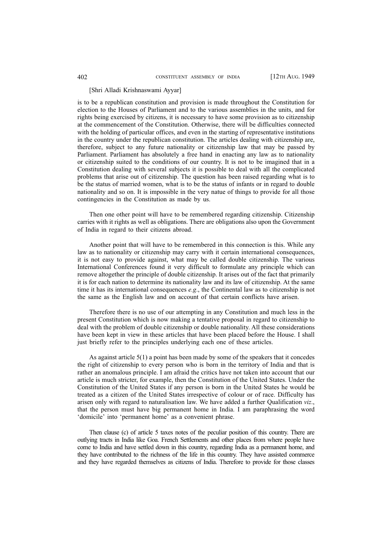## [Shri Alladi Krishnaswami Ayyar]

is to be a republican constitution and provision is made throughout the Constitution for election to the Houses of Parliament and to the various assemblies in the units, and for rights being exercised by citizens, it is necessary to have some provision as to citizenship at the commencement of the Constitution. Otherwise, there will be difficulties connected with the holding of particular offices, and even in the starting of representative institutions in the country under the republican constitution. The articles dealing with citizenship are, therefore, subject to any future nationality or citizenship law that may be passed by Parliament. Parliament has absolutely a free hand in enacting any law as to nationality or citizenship suited to the conditions of our country. It is not to be imagined that in a Constitution dealing with several subjects it is possible to deal with all the complicated problems that arise out of citizenship. The question has been raised regarding what is to be the status of married women, what is to be the status of infants or in regard to double nationality and so on. It is impossible in the very natue of things to provide for all those contingencies in the Constitution as made by us.

Then one other point will have to be remembered regarding citizenship. Citizenship carries with it rights as well as obligations. There are obligations also upon the Government of India in regard to their citizens abroad.

Another point that will have to be remembered in this connection is this. While any law as to nationality or citizenship may carry with it certain international consequences, it is not easy to provide against, what may be called double citizenship. The various International Conferences found it very difficult to formulate any principle which can remove altogether the principle of double citizenship. It arises out of the fact that primarily it is for each nation to determine its nationality law and its law of citizenship. At the same time it has its international consequences *e.g*., the Continental law as to citizenship is not the same as the English law and on account of that certain conflicts have arisen.

Therefore there is no use of our attempting in any Constitution and much less in the present Constitution which is now making a tentative proposal in regard to citizenship to deal with the problem of double citizenship or double nationality. All these considerations have been kept in view in these articles that have been placed before the House. I shall just briefly refer to the principles underlying each one of these articles.

As against article 5(1) a point has been made by some of the speakers that it concedes the right of citizenship to every person who is born in the territory of India and that is rather an anomalous principle. I am afraid the critics have not taken into account that our article is much stricter, for example, then the Constitution of the United States. Under the Constitution of the United States if any person is born in the United States he would be treated as a citizen of the United States irrespective of colour or of race. Difficulty has arisen only with regard to naturalisation law. We have added a further Qualification *viz*., that the person must have big permanent home in India. I am paraphrasing the word 'domicile' into 'permanent home' as a convenient phrase.

Then clause (c) of article 5 taxes notes of the peculiar position of this country. There are outlying tracts in India like Goa. French Settlements and other places from where people have come to India and have settled down in this country, regarding India as a permanent home, and they have contributed to the richness of the life in this country. They have assisted commerce and they have regarded themselves as citizens of India. Therefore to provide for those classes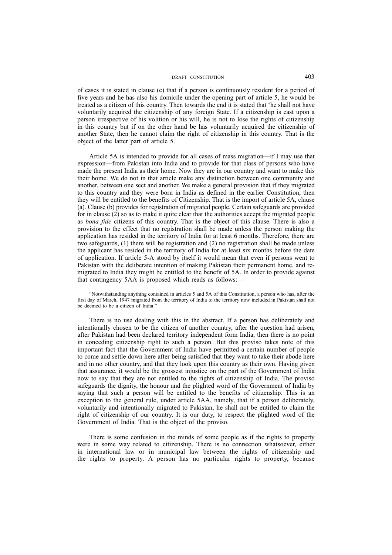of cases it is stated in clause (c) that if a person is continuously resident for a period of five years and he has also his domicile under the opening part of article 5, he would be treated as a citizen of this country. Then towards the end it is stated that 'he shall not have voluntarily acquired the citizenship of any foreign State. If a citizenship is cast upon a person irrespective of his volition or his will, he is not to lose the rights of citizenship in this country but if on the other hand be has voluntarily acquired the citizenship of another State, then he cannot claim the right of citizenship in this country. That is the object of the latter part of article 5.

Article 5A is intended to provide for all cases of mass migration—if I may use that expression—from Pakistan into India and to provide for that class of persons who have made the present India as their home. Now they are in our country and want to make this their home. We do not in that article make any distinction between one community and another, between one sect and another. We make a general provision that if they migrated to this country and they were born in India as defined in the earlier Constitution, then they will be entitled to the benefits of Citizenship. That is the import of article 5A, clause (a). Clause (b) provides for registration of migrated people. Certain safeguards are provided for in clause (2) so as to make it quite clear that the authorities accept the migrated people as *bona fide* citizens of this country. That is the object of this clause. There is also a provision to the effect that no registration shall be made unless the person making the application has resided in the territory of India for at least 6 months. Therefore, there are two safeguards, (1) there will be registration and (2) no registration shall be made unless the applicant has resided in the territory of India for at least six months before the date of application. If article 5-A stood by itself it would mean that even if persons went to Pakistan with the deliberate intention of making Pakistan their permanent home, and remigrated to India they might be entitled to the benefit of 5A. In order to provide against that contingency 5AA is proposed which reads as follows:—

"Notwithstanding anything contained in articles 5 and 5A of this Constitution, a person who has, after the first day of March, 1947 migrated from the territory of India to the territory now included in Pakistan shall not be deemed to be a citizen of India.'

There is no use dealing with this in the abstract. If a person has deliberately and intentionally chosen to be the citizen of another country, after the question had arisen, after Pakistan had been declared territory independent form India, then there is no point in conceding citizenship right to such a person. But this proviso takes note of this important fact that the Government of India have permitted a certain number of people to come and settle down here after being satisfied that they want to take their abode here and in no other country, and that they look upon this country as their own. Having given that assurance, it would be the grossest injustice on the part of the Government of India now to say that they are not entitled to the rights of citizenship of India. The proviso safeguards the dignity, the honour and the plighted word of the Government of India by saying that such a person will be entitled to the benefits of citizenship. This is an exception to the general rule, under article 5AA, namely, that if a person deliberately, voluntarily and intentionally migrated to Pakistan, he shall not be entitled to claim the right of citizenship of our country. It is our duty, to respect the plighted word of the Government of India. That is the object of the proviso.

There is some confusion in the minds of some people as if the rights to property were in some way related to citizenship. There is no connection whatsoever, either in international law or in municipal law between the rights of citizenship and the rights to property. A person has no particular rights to property, because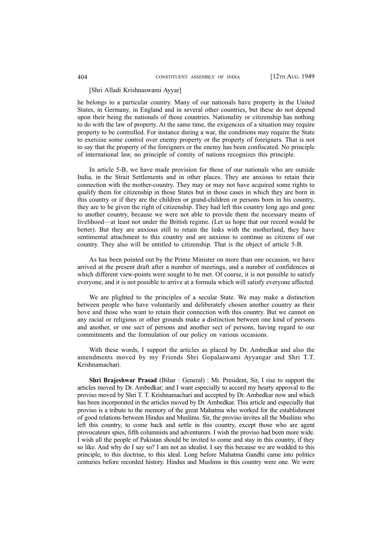#### [Shri Alladi Krishnaswami Ayyar]

he belongs to a particular country. Many of our nationals have property in the United States, in Germany, in England and in several other countries, but these do not depend upon their being the nationals of those countries. Nationality or citizenship has nothing to do with the law of property. At the same time, the exigencies of a situation may require property to be controlled. For instance during a war, the conditions may require the State to exercise some control over enemy property or the property of foreigners. That is not to say that the property of the foreigners or the enemy has been confiscated. No principle of international law, no principle of comity of nations recognizes this principle.

In article 5-B, we have made provision for those of our nationals who are outside India, in the Strait Settlements and in other places. They are anxious to retain their connection with the mother-country. They may or may not have acquired some rights to qualify them for citizenship in those States but in those cases in which they are born in this country or if they are the children or grand-children or persons born in his country, they are to be given the right of citizenship. They had left this country long ago and gone to another country, because we were not able to provide them the necessary means of livelihood—at least not under the British regime. (Let us hope that our record would be better). But they are anxious still to retain the links with the motherland, they have sentimental attachment to this country and are anxious to continue as citizens of our country. They also will be entitled to citizenship. That is the object of article 5-B.

As has been pointed out by the Prime Minister on more than one occasion, we have arrived at the present draft after a number of meetings, and a number of confidences at which different view-points were sought to be met. Of course, it is not possible to satisfy everyone, and it is not possible to arrive at a formula which will satisfy everyone affected.

We are plighted to the principles of a secular State. We may make a distinction between people who have voluntarily and deliberately chosen another country as their hove and those who want to retain their connection with this country. But we cannot on any racial or religious or other grounds make a distinction between one kind of persons and another, or one sect of persons and another sect of persons, having regard to our commitments and the formulation of our policy on various occasions.

With these words, I support the articles as placed by Dr. Ambedkar and also the amendments moved by my Friends Shri Gopalaswami Ayyangar and Shri T.T. Krishnamachari.

**Shri Brajeshwar Prasad** (Bihar : General) : Mr. President, Sir, I rise to support the articles moved by Dr. Ambedkar; and I want especially to accord my hearty approval to the proviso moved by Shri T. T. Krishnamachari and accepted by Dr. Ambedkar now and which has been incorporated in the articles moved by Dr. Ambedkar. This article and especially that proviso is a tribute to the memory of the great Mahatma who worked for the establishment of good relations between Hindus and Muslims. Sir, the proviso invites all the Muslims who left this country, to come back and settle in this country, except those who are agent provocateurs spies, fifth columnists and adventurers. I wish the proviso had been more wide. I wish all the people of Pakistan should be invited to come and stay in this country, if they so like. And why do I say so? I am not an idealist. I say this because we are wedded to this principle, to this doctrine, to this ideal. Long before Mahatma Gandhi came into politics centuries before recorded history. Hindus and Muslims in this country were one. We were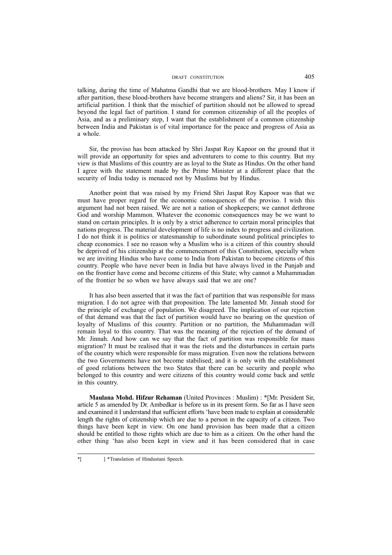talking, during the time of Mahatma Gandhi that we are blood-brothers. May I know if after partition, these blood-brothers have become strangers and aliens? Sir, it has been an artificial partition. I think that the mischief of partition should not be allowed to spread beyond the legal fact of partition. I stand for common citizenship of all the peoples of Asia, and as a preliminary step, I want that the establishment of a common citizenship between India and Pakistan is of vital importance for the peace and progress of Asia as a whole.

Sir, the proviso has been attacked by Shri Jaspat Roy Kapoor on the ground that it will provide an opportunity for spies and adventurers to come to this country. But my view is that Muslims of this country are as loyal to the State as Hindus. On the other hand I agree with the statement made by the Prime Minister at a different place that the security of India today is menaced not by Muslims but by Hindus.

Another point that was raised by my Friend Shri Jaspat Roy Kapoor was that we must have proper regard for the economic consequences of the proviso. I wish this argument had not been raised. We are not a nation of shopkeepers; we cannot dethrone God and worship Mammon. Whatever the economic consequences may be we want to stand on certain principles. It is only by a strict adherence to certain moral principles that nations progress. The material development of life is no index to progress and civilization. I do not think it is politics or statesmanship to subordinate sound political principles to cheap economics. I see no reason why a Muslim who is a citizen of this country should be deprived of his citizenship at the commencement of this Constitution, specially when we are inviting Hindus who have come to India from Pakistan to become citizens of this country. People who have never been in India but have always lived in the Punjab and on the frontier have come and become citizens of this State; why cannot a Muhammadan of the frontier be so when we have always said that we are one?

It has also been asserted that it was the fact of partition that was responsible for mass migration. I do not agree with that proposition. The late lamented Mr. Jinnah stood for the principle of exchange of population. We disagreed. The implication of our rejection of that demand was that the fact of partition would have no bearing on the question of loyalty of Muslims of this country. Partition or no partition, the Muhammadan will remain loyal to this country. That was the meaning of the rejection of the demand of Mr. Jinnah. And how can we say that the fact of partition was responsible for mass migration? It must be realised that it was the riots and the disturbances in certain parts of the country which were responsible for mass migration. Even now the relations between the two Governments have not become stabilised; and it is only with the establishment of good relations between the two States that there can be security and people who belonged to this country and were citizens of this country would come back and settle in this country.

**Maulana Mohd. Hifzur Rehaman** (United Provinces : Muslim) : \*[Mr. President Sir, article 5 as amended by Dr. Ambedkar is before us in its present form. So far as I have seen and examined it I understand that sufficient efforts 'have been made to explain at considerable length the rights of citizenship which are due to a person in the capacity of a citizen. Two things have been kept in view. On one hand provision has been made that a citizen should be entitled to those rights which are due to him as a citizen. On the other hand the other thing 'has also been kept in view and it has been considered that in case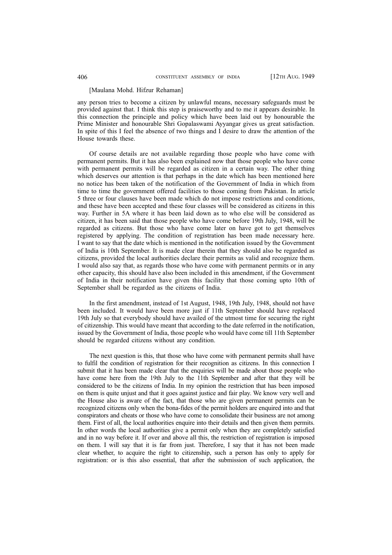#### [Maulana Mohd. Hifzur Rehaman]

any person tries to become a citizen by unlawful means, necessary safeguards must be provided against that. I think this step is praiseworthy and to me it appears desirable. In this connection the principle and policy which have been laid out by honourable the Prime Minister and honourable Shri Gopalaswami Ayyangar gives us great satisfaction. In spite of this I feel the absence of two things and I desire to draw the attention of the House towards these.

Of course details are not available regarding those people who have come with permanent permits. But it has also been explained now that those people who have come with permanent permits will be regarded as citizen in a certain way. The other thing which deserves our attention is that perhaps in the date which has been mentioned here no notice has been taken of the notification of the Government of India in which from time to time the government offered facilities to those coming from Pakistan. In article 5 three or four clauses have been made which do not impose restrictions and conditions, and these have been accepted and these four classes will be considered as citizens in this way. Further in 5A where it has been laid down as to who else will be considered as citizen, it has been said that those people who have come before 19th July, 1948, will be regarded as citizens. But those who have come later on have got to get themselves registered by applying. The condition of registration has been made necessary here. I want to say that the date which is mentioned in the notification issued by the Government of India is 10th September. It is made clear therein that they should also be regarded as citizens, provided the local authorities declare their permits as valid and recognize them. I would also say that, as regards those who have come with permanent permits or in any other capacity, this should have also been included in this amendment, if the Government of India in their notification have given this facility that those coming upto 10th of September shall be regarded as the citizens of India.

In the first amendment, instead of 1st August, 1948, 19th July, 1948, should not have been included. It would have been more just if 11th September should have replaced 19th July so that everybody should have availed of the utmost time for securing the right of citizenship. This would have meant that according to the date referred in the notification, issued by the Government of India, those people who would have come till 11th September should be regarded citizens without any condition.

The next question is this, that those who have come with permanent permits shall have to fulfil the condition of registration for their recognition as citizens. In this connection I submit that it has been made clear that the enquiries will be made about those people who have come here from the 19th July to the 11th September and after that they will be considered to be the citizens of India. In my opinion the restriction that has been imposed on them is quite unjust and that it goes against justice and fair play. We know very well and the House also is aware of the fact, that those who are given permanent permits can be recognized citizens only when the bona-fides of the permit holders are enquired into and that conspirators and cheats or those who have come to consolidate their business are not among them. First of all, the local authorities enquire into their details and then given them permits. In other words the local authorities give a permit only when they are completely satisfied and in no way before it. If over and above all this, the restriction of registration is imposed on them. I will say that it is far from just. Therefore, I say that it has not been made clear whether, to acquire the right to citizenship, such a person has only to apply for registration: or is this also essential, that after the submission of such application, the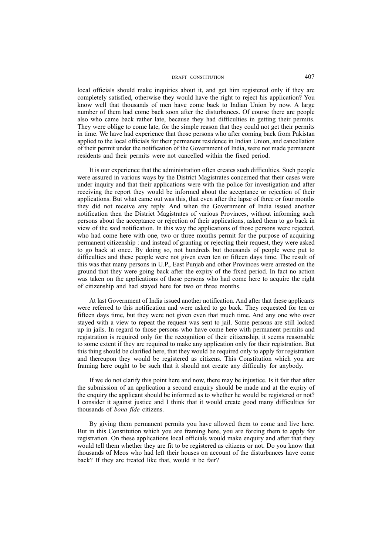local officials should make inquiries about it, and get him registered only if they are completely satisfied, otherwise they would have the right to reject his application? You know well that thousands of men have come back to Indian Union by now. A large number of them had come back soon after the disturbances. Of course there are people also who came back rather late, because they had difficulties in getting their permits. They were oblige to come late, for the simple reason that they could not get their permits in time. We have had experience that those persons who after coming back from Pakistan applied to the local officials for their permanent residence in Indian Union, and cancellation of their permit under the notification of the Government of India, were not made permanent residents and their permits were not cancelled within the fixed period.

It is our experience that the administration often creates such difficulties. Such people were assured in various ways by the District Magistrates concerned that their cases were under inquiry and that their applications were with the police for investigation and after receiving the report they would be informed about the acceptance or rejection of their applications. But what came out was this, that even after the lapse of three or four months they did not receive any reply. And when the Government of India issued another notification then the District Magistrates of various Provinces, without informing such persons about the acceptance or rejection of their applications, asked them to go back in view of the said notification. In this way the applications of those persons were rejected, who had come here with one, two or three months permit for the purpose of acquiring permanent citizenship : and instead of granting or rejecting their request, they were asked to go back at once. By doing so, not hundreds but thousands of people were put to difficulties and these people were not given even ten or fifteen days time. The result of this was that many persons in U.P., East Punjab and other Provinces were arrested on the ground that they were going back after the expiry of the fixed period. In fact no action was taken on the applications of those persons who had come here to acquire the right of citizenship and had stayed here for two or three months.

At last Government of India issued another notification. And after that these applicants were referred to this notification and were asked to go back. They requested for ten or fifteen days time, but they were not given even that much time. And any one who over stayed with a view to repeat the request was sent to jail. Some persons are still locked up in jails. In regard to those persons who have come here with permanent permits and registration is required only for the recognition of their citizenship, it seems reasonable to some extent if they are required to make any application only for their registration. But this thing should be clarified here, that they would be required only to apply for registration and thereupon they would be registered as citizens. This Constitution which you are framing here ought to be such that it should not create any difficulty for anybody.

If we do not clarify this point here and now, there may be injustice. Is it fair that after the submission of an application a second enquiry should be made and at the expiry of the enquiry the applicant should be informed as to whether he would be registered or not? I consider it against justice and I think that it would create good many difficulties for thousands of *bona fide* citizens.

By giving them permanent permits you have allowed them to come and live here. But in this Constitution which you are framing here, you are forcing them to apply for registration. On these applications local officials would make enquiry and after that they would tell them whether they are fit to be registered as citizens or not. Do you know that thousands of Meos who had left their houses on account of the disturbances have come back? If they are treated like that, would it be fair?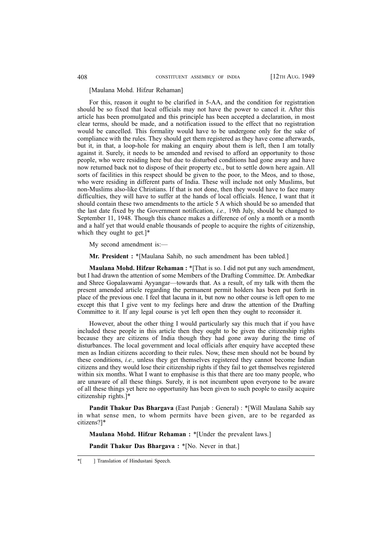### [Maulana Mohd. Hifzur Rehaman]

For this, reason it ought to be clarified in 5-AA, and the condition for registration should be so fixed that local officials may not have the power to cancel it. After this article has been promulgated and this principle has been accepted a declaration, in most clear terms, should be made, and a notification issued to the effect that no registration would be cancelled. This formality would have to be undergone only for the sake of compliance with the rules. They should get them registered as they have come afterwards, but it, in that, a loop-hole for making an enquiry about them is left, then I am totally against it. Surely, it needs to be amended and revised to afford an opportunity to those people, who were residing here but due to disturbed conditions had gone away and have now returned back not to dispose of their property etc., but to settle down here again. All sorts of facilities in this respect should be given to the poor, to the Meos, and to those, who were residing in different parts of India. These will include not only Muslims, but non-Muslims also-like Christians. If that is not done, then they would have to face many difficulties, they will have to suffer at the hands of local officials. Hence, I want that it should contain these two amendments to the article 5 A which should be so amended that the last date fixed by the Government notification, *i.e.,* 19th July, should be changed to September 11, 1948. Though this chance makes a difference of only a month or a month and a half yet that would enable thousands of people to acquire the rights of citizenship, which they ought to get.]\*

My second amendment is:—

**Mr. President :** \*[Maulana Sahib, no such amendment has been tabled.]

**Maulana Mohd. Hifzur Rehaman :** \*[That is so. I did not put any such amendment, but I had drawn the attention of some Members of the Drafting Committee. Dr. Ambedkar and Shree Gopalaswami Ayyangar—towards that. As a result, of my talk with them the present amended article regarding the permanent permit holders has been put forth in place of the previous one. I feel that lacuna in it, but now no other course is left open to me except this that I give vent to my feelings here and draw the attention of the Drafting Committee to it. If any legal course is yet left open then they ought to reconsider it.

However, about the other thing I would particularly say this much that if you have included these people in this article then they ought to be given the citizenship rights because they are citizens of India though they had gone away during the time of disturbances. The local government and local officials after enquiry have accepted these men as Indian citizens according to their rules. Now, these men should not be bound by these conditions, *i.e.,* unless they get themselves registered they cannot become Indian citizens and they would lose their citizenship rights if they fail to get themselves registered within six months. What I want to emphasise is this that there are too many people, who are unaware of all these things. Surely, it is not incumbent upon everyone to be aware of all these things yet here no opportunity has been given to such people to easily acquire citizenship rights.]\*

**Pandit Thakur Das Bhargava** (East Punjab : General) : \*[Will Maulana Sahib say in what sense men, to whom permits have been given, are to be regarded as citizens?]\*

**Maulana Mohd. Hifzur Rehaman :** \*[Under the prevalent laws.]

**Pandit Thakur Das Bhargava : \*[No. Never in that.]** 

<sup>\*[ ]</sup> Translation of Hindustani Speech.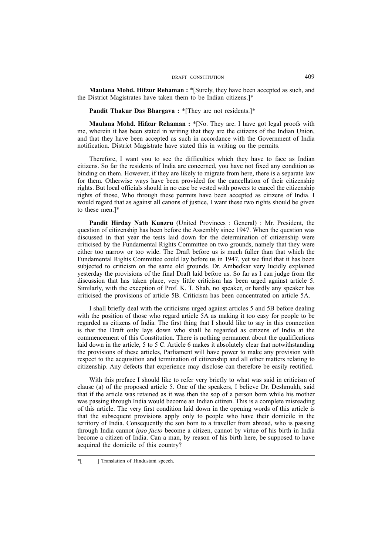**Maulana Mohd. Hifzur Rehaman :** \*[Surely, they have been accepted as such, and the District Magistrates have taken them to be Indian citizens.]\*

Pandit Thakur Das Bhargava : \*[They are not residents.]\*

**Maulana Mohd. Hifzur Rehaman :** \*[No. They are. I have got legal proofs with me, wherein it has been stated in writing that they are the citizens of the Indian Union, and that they have been accepted as such in accordance with the Government of India notification. District Magistrate have stated this in writing on the permits.

Therefore, I want you to see the difficulties which they have to face as Indian citizens. So far the residents of India are concerned, you have not fixed any condition as binding on them. However, if they are likely to migrate from here, there is a separate law for them. Otherwise ways have been provided for the cancellation of their citizenship rights. But local officials should in no case be vested with powers to cancel the citizenship rights of those, Who through these permits have been accepted as citizens of India. I would regard that as against all canons of justice, I want these two rights should be given to these men.]\*

**Pandit Hirday Nath Kunzru** (United Provinces : General) : Mr. President, the question of citizenship has been before the Assembly since 1947. When the question was discussed in that year the tests laid down for the determination of citizenship were criticised by the Fundamental Rights Committee on two grounds, namely that they were either too narrow or too wide. The Draft before us is much fuller than that which the Fundamental Rights Committee could lay before us in 1947, yet we find that it has been subjected to criticism on the same old grounds. Dr. Ambedkar very lucidly explained yesterday the provisions of the final Draft laid before us. So far as I can judge from the discussion that has taken place, very little criticism has been urged against article 5. Similarly, with the exception of Prof. K. T. Shah, no speaker, or hardly any speaker has criticised the provisions of article 5B. Criticism has been concentrated on article 5A.

I shall briefly deal with the criticisms urged against articles 5 and 5B before dealing with the position of those who regard article 5A as making it too easy for people to be regarded as citizens of India. The first thing that I should like to say in this connection is that the Draft only lays down who shall be regarded as citizens of India at the commencement of this Constitution. There is nothing permanent about the qualifications laid down in the article, 5 to 5 C. Article 6 makes it absolutely clear that notwithstanding the provisions of these articles, Parliament will have power to make any provision with respect to the acquisition and termination of citizenship and all other matters relating to citizenship. Any defects that experience may disclose can therefore be easily rectified.

With this preface I should like to refer very briefly to what was said in criticism of clause (a) of the proposed article 5. One of the speakers, I believe Dr. Deshmukh, said that if the article was retained as it was then the sop of a person born while his mother was passing through India would become an Indian citizen. This is a complete misreading of this article. The very first condition laid down in the opening words of this article is that the subsequent provisions apply only to people who have their domicile in the territory of India. Consequently the son born to a traveller from abroad, who is passing through India cannot *ipso facto* become a citizen, cannot by virtue of his birth in India become a citizen of India. Can a man, by reason of his birth here, be supposed to have acquired the domicile of this country?

<sup>\*[ ]</sup> Translation of Hindustani speech.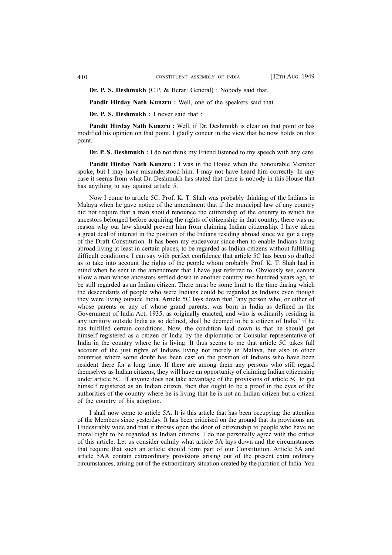**Dr. P. S. Deshmukh** (C.P. & Berar: General) : Nobody said that.

**Pandit Hirday Nath Kunzru :** Well, one of the speakers said that.

**Dr. P. S. Deshmukh :** I never said that :

**Pandit Hirday Nath Kunzru :** Well, if Dr. Deshmukh is clear on that point or has modified his opinion on that point, I gladly concur in the view that he now holds on this point.

**Dr. P. S. Deshmukh :** I do not think my Friend listened to my speech with any care.

**Pandit Hirday Nath Kunzru :** I was in the House when the honourable Member spoke, but I may have misunderstood him, I may not have heard him correctly. In any case it seems from what Dr. Deshmukh has stated that there is nobody in this House that has anything to say against article 5.

Now I come to article 5C. Prof. K. T. Shah was probably thinking of the Indians in Malaya when he gave notice of the amendment that if the municipal law of any country did not require that a man should renounce the citizenship of the country to which his ancestors belonged before acquiring the rights of citizenship in that country, there was no reason why our law should prevent him from claiming Indian citizenship. I have taken a great deal of interest in the position of the Indians residing abroad since we got a copy of the Draft Constitution. It has been my endeavour since then to enable Indians living abroad living at least in certain places, to be regarded as Indian citizens without fulfilling difficult conditions. I can say with perfect confidence that article 5C has been so drafted as to take into account the rights of the people whom probably Prof. K. T. Shah had in mind when he sent in the amendment that I have just referred to. Obviously we, cannot allow a man whose ancestors settled down in another country two hundred years ago, to be still regarded as an Indian citizen. There must be some limit to the time during which the descendants of people who were Indians could be regarded as Indians even though they were living outside India. Article 5C lays down that "any person who, or either of whose parents or any of whose grand parents, was born in India as defined in the Government of India Act, 1935, as originally enacted, and who is ordinarily residing in any territory outside India as so defined, shall be deemed to be a citizen of India" if he has fulfilled certain conditions. Now, the condition laid down is that he should get himself registered as a citizen of India by the diplomatic or Consular representative of India in the country where he is living. It thus seems to me that article 5C takes full account of the just rights of Indians living not merely in Malaya, but also in other countries where some doubt has been cast on the position of Indians who have been resident there for a long time. If there are among them any persons who still regard themselves as Indian citizens, they will have an opportunity of claiming Indian citizenship under article 5C. If anyone does not take advantage of the provisions of article 5C to get himself registered as an Indian citizen, then that ought to be a proof in the eyes of the authorities of the country where he is living that he is not an Indian citizen but a citizen of the country of his adoption.

I shall now come to article 5A. It is this article that has been occupying the attention of the Members since yesterday. It has been criticised on the ground that its provisions are Undesirably wide and that it throws open the door of citizenship to people who have no moral right to be regarded as Indian citizens. I do not personally agree with the critics of this article. Let us consider calmly what article 5A lays down and the circumstances that require that such an article should form part of our Constitution. Article 5A and article 5AA contain extraordinary provisions arising out of the present extra ordinary circumstances, arising out of the extraordinary situation created by the partition of India. You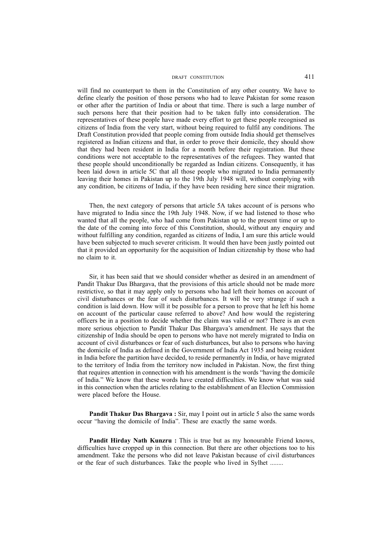will find no counterpart to them in the Constitution of any other country. We have to define clearly the position of those persons who had to leave Pakistan for some reason or other after the partition of India or about that time. There is such a large number of such persons here that their position had to be taken fully into consideration. The representatives of these people have made every effort to get these people recognised as citizens of India from the very start, without being required to fulfil any conditions. The Draft Constitution provided that people coming from outside India should get themselves registered as Indian citizens and that, in order to prove their domicile, they should show that they had been resident in India for a month before their registration. But these conditions were not acceptable to the representatives of the refugees. They wanted that these people should unconditionally be regarded as Indian citizens. Consequently, it has been laid down in article 5C that all those people who migrated to India permanently leaving their homes in Pakistan up to the 19th July 1948 will, without complying with any condition, be citizens of India, if they have been residing here since their migration.

Then, the next category of persons that article 5A takes account of is persons who have migrated to India since the 19th July 1948. Now, if we had listened to those who wanted that all the people, who had come from Pakistan up to the present time or up to the date of the coming into force of this Constitution, should, without any enquiry and without fulfilling any condition, regarded as citizens of India, I am sure this article would have been subjected to much severer criticism. It would then have been justly pointed out that it provided an opportunity for the acquisition of Indian citizenship by those who had no claim to it.

Sir, it has been said that we should consider whether as desired in an amendment of Pandit Thakur Das Bhargava, that the provisions of this article should not be made more restrictive, so that it may apply only to persons who had left their homes on account of civil disturbances or the fear of such disturbances. It will be very strange if such a condition is laid down. How will it be possible for a person to prove that he left his home on account of the particular cause referred to above? And how would the registering officers be in a position to decide whether the claim was valid or not? There is an even more serious objection to Pandit Thakur Das Bhargava's amendment. He says that the citizenship of India should be open to persons who have not merely migrated to India on account of civil disturbances or fear of such disturbances, but also to persons who having the domicile of India as defined in the Government of India Act 1935 and being resident in India before the partition have decided, to reside permanently in India, or have migrated to the territory of India from the territory now included in Pakistan. Now, the first thing that requires attention in connection with his amendment is the words "having the domicile of India." We know that these words have created difficulties. We know what was said in this connection when the articles relating to the establishment of an Election Commission were placed before the House.

**Pandit Thakur Das Bhargava :** Sir, may I point out in article 5 also the same words occur "having the domicile of India". These are exactly the same words.

**Pandit Hirday Nath Kunzru :** This is true but as my honourable Friend knows, difficulties have cropped up in this connection. But there are other objections too to his amendment. Take the persons who did not leave Pakistan because of civil disturbances or the fear of such disturbances. Take the people who lived in Sylhet ........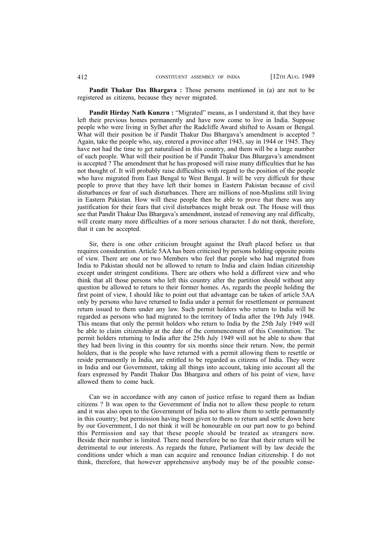**Pandit Thakur Das Bhargava :** Those persons mentioned in (a) are not to be registered as citizens, because they never migrated.

**Pandit Hirday Nath Kunzru :** "Migrated" means, as I understand it, that they have left their previous homes permanently and have now come to live in India. Suppose people who were living in Sylhet after the Radcliffe Award shifted to Assam or Bengal. What will their position be if Pandit Thakur Das Bhargava's amendment is accepted ? Again, take the people who, say, entered a province after 1943, say in 1944 or 1945. They have not had the time to get naturalised in this country, and them will be a large number of such people. What will their position be if Pandit Thakur Das Bhargava's amendment is accepted ? The amendment that he has proposed will raise many difficulties that he has not thought of. It will probably raise difficulties with regard to the position of the people who have migrated from East Bengal to West Bengal. It will be very difficult for these people to prove that they have left their homes in Eastern Pakistan because of civil disturbances or fear of such disturbances. There are millions of non-Muslims still living in Eastern Pakistan. How will these people then be able to prove that there was any justification for their fears that civil disturbances might break out. The House will thus see that Pandit Thakur Das Bhargava's amendment, instead of removing any real difficulty, will create many more difficulties of a more serious character. I do not think, therefore, that it can be accepted.

Sir, there is one other criticism brought against the Draft placed before us that requires consideration. Article 5AA has been criticised by persons holding opposite points of view. There are one or two Members who feel that people who had migrated from India to Pakistan should not be allowed to return to India and claim Indian citizenship except under stringent conditions. There are others who hold a different view and who think that all those persons who left this country after the partition should without any question be allowed to return to their former homes. As, regards the people holding the first point of view, I should like to point out that advantage can be taken of article 5AA only by persons who have returned to India under a permit for resettlement or permanent return issued to them under any law. Such permit holders who return to India will be regarded as persons who had migrated to the territory of India after the 19th July 1948. This means that only the permit holders who return to India by the 25th July 1949 will be able to claim citizenship at the date of the commencement of this Constitution. The permit holders returning to India after the 25th July 1949 will not be able to show that they had been living in this country for six months since their return. Now, the permit holders, that is the people who have returned with a permit allowing them to resettle or reside permanently in India, are entitled to be regarded as citizens of India. They were in India and our Government, taking all things into account, taking into account all the fears expressed by Pandit Thakur Das Bhargava and others of his point of view, have allowed them to come back.

Can we in accordance with any canon of justice refuse to regard them as Indian citizens ? It was open to the Government of India not to allow these people to return and it was also open to the Government of India not to allow them to settle permanently in this country; but permission having been given to them to return and settle down here by our Government, I do not think it will be honourable on our part now to go behind this Permission and say that these people should be treated as strangers now. Beside their number is limited. There need therefore be no fear that their return will be detrimental to our interests. As regards the future, Parliament will by law decide the conditions under which a man can acquire and renounce Indian citizenship. I do not think, therefore, that however apprehensive anybody may be of the possible conse-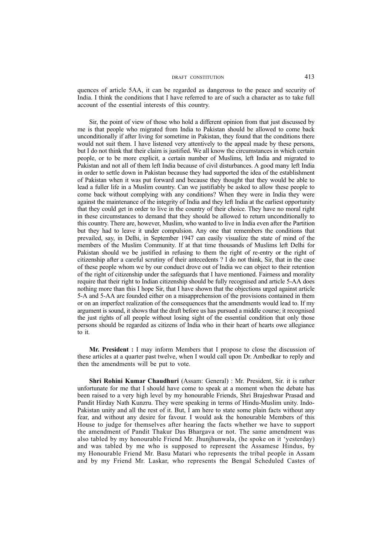quences of article 5AA, it can be regarded as dangerous to the peace and security of India. I think the conditions that I have referred to are of such a character as to take full account of the essential interests of this country.

Sir, the point of view of those who hold a different opinion from that just discussed by me is that people who migrated from India to Pakistan should be allowed to come back unconditionally if after living for sometime in Pakistan, they found that the conditions there would not suit them. I have listened very attentively to the appeal made by these persons, but I do not think that their claim is justified. We all know the circumstances in which certain people, or to be more explicit, a certain number of Muslims, left India and migrated to Pakistan and not all of them left India because of civil disturbances. A good many left India in order to settle down in Pakistan because they had supported the idea of the establishment of Pakistan when it was put forward and because they thought that they would be able to lead a fuller life in a Muslim country. Can we justifiably be asked to allow these people to come back without complying with any conditions? When they were in India they were against the maintenance of the integrity of India and they left India at the earliest opportunity that they could get in order to live in the country of their choice. They have no moral right in these circumstances to demand that they should be allowed to return unconditionally to this country. There are, however, Muslim, who wanted to live in India even after the Partition but they had to leave it under compulsion. Any one that remembers the conditions that prevailed, say, in Delhi, in September 1947 can easily visualize the state of mind of the members of the Muslim Community. If at that time thousands of Muslims left Delhi for Pakistan should we be justified in refusing to them the right of re-entry or the right of citizenship after a careful scrutiny of their antecedents ? I do not think, Sir, that in the case of these people whom we by our conduct drove out of India we can object to their retention of the right of citizenship under the safeguards that I have mentioned. Fairness and morality require that their right to Indian citizenship should be fully recognised and article 5-AA does nothing more than this I hope Sir, that I have shown that the objections urged against article 5-A and 5-AA are founded either on a misapprehension of the provisions contained in them or on an imperfect realization of the consequences that the amendments would lead to. If my argument is sound, it shows that the draft before us has pursued a middle course; it recognised the just rights of all people without losing sight of the essential condition that only those persons should be regarded as citizens of India who in their heart of hearts owe allegiance to it.

**Mr. President :** I may inform Members that I propose to close the discussion of these articles at a quarter past twelve, when I would call upon Dr. Ambedkar to reply and then the amendments will be put to vote.

**Shri Rohini Kumar Chaudhuri** (Assam: General) : Mr. President, Sir. it is rather unfortunate for me that I should have come to speak at a moment when the debate has been raised to a very high level by my honourable Friends, Shri Brajeshwar Prasad and Pandit Hirday Nath Kunzru. They were speaking in terms of Hindu-Muslim unity. Indo-Pakistan unity and all the rest of it. But, I am here to state some plain facts without any fear, and without any desire for favour. I would ask the honourable Members of this House to judge for themselves after hearing the facts whether we have to support the amendment of Pandit Thakur Das Bhargava or not. The same amendment was also tabled by my honourable Friend Mr. Jhunjhunwala, (he spoke on it 'yesterday) and was tabled by me who is supposed to represent the Assamese Hindus, by my Honourable Friend Mr. Basu Matari who represents the tribal people in Assam and by my Friend Mr. Laskar, who represents the Bengal Scheduled Castes of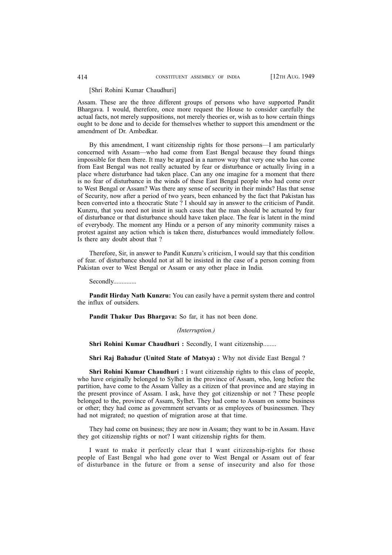#### [Shri Rohini Kumar Chaudhuri]

Assam. These are the three different groups of persons who have supported Pandit Bhargava. I would, therefore, once more request the House to consider carefully the actual facts, not merely suppositions, not merely theories or, wish as to how certain things ought to be done and to decide for themselves whether to support this amendment or the amendment of Dr. Ambedkar.

By this amendment, I want citizenship rights for those persons—I am particularly concerned with Assam—who had come from East Bengal because they found things impossible for them there. It may be argued in a narrow way that very one who has come from East Bengal was not really actuated by fear or disturbance or actually living in a place where disturbance had taken place. Can any one imagine for a moment that there is no fear of disturbance in the winds of these East Bengal people who had come over to West Bengal or Assam? Was there any sense of security in their minds? Has that sense of Security, now after a period of two years, been enhanced by the fact that Pakistan has been converted into a theocratic State ? I should say in answer to the criticism of Pandit. Kunzru, that you need not insist in such cases that the man should be actuated by fear of disturbance or that disturbance should have taken place. The fear is latent in the mind of everybody. The moment any Hindu or a person of any minority community raises a protest against any action which is taken there, disturbances would immediately follow. Is there any doubt about that ?

Therefore, Sir, in answer to Pandit Kunzru's criticism, I would say that this condition of fear. of disturbance should not at all be insisted in the case of a person coming from Pakistan over to West Bengal or Assam or any other place in India.

#### Secondly..............

**Pandit Hirday Nath Kunzru:** You can easily have a permit system there and control the influx of outsiders.

**Pandit Thakur Das Bhargava:** So far, it has not been done.

## *(Interruption.)*

**Shri Rohini Kumar Chaudhuri : Secondly, I want citizenship........** 

**Shri Raj Bahadur (United State of Matsya) :** Why not divide East Bengal ?

**Shri Rohini Kumar Chaudhuri :** I want citizenship rights to this class of people, who have originally belonged to Sylhet in the province of Assam, who, long before the partition, have come to the Assam Valley as a citizen of that province and are staying in the present province of Assam. I ask, have they got citizenship or not ? These people belonged to the, province of Assam, Sylhet. They had come to Assam on some business or other; they had come as government servants or as employees of businessmen. They had not migrated; no question of migration arose at that time.

They had come on business; they are now in Assam; they want to be in Assam. Have they got citizenship rights or not? I want citizenship rights for them.

I want to make it perfectly clear that I want citizenship-rights for those people of East Bengal who had gone over to West Bengal or Assam out of fear of disturbance in the future or from a sense of insecurity and also for those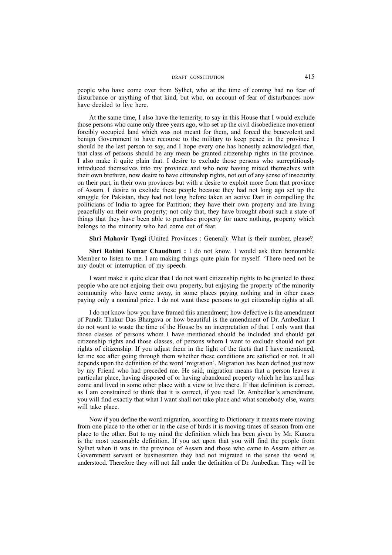people who have come over from Sylhet, who at the time of coming had no fear of disturbance or anything of that kind, but who, on account of fear of disturbances now have decided to live here.

At the same time, I also have the temerity, to say in this House that I would exclude those persons who came only three years ago, who set up the civil disobedience movement forcibly occupied land which was not meant for them, and forced the benevolent and benign Government to have recourse to the military to keep peace in the province I should be the last person to say, and I hope every one has honestly acknowledged that, that class of persons should be any mean be granted citizenship rights in the province. I also make it quite plain that. I desire to exclude those persons who surreptitiously introduced themselves into my province and who now having mixed themselves with their own brethren, now desire to have citizenship rights, not out of any sense of insecurity on their part, in their own provinces but with a desire to exploit more from that province of Assam. I desire to exclude these people because they had not long ago set up the struggle for Pakistan, they had not long before taken an active Dart in compelling the politicians of India to agree for Partition; they have their own property and are living peacefully on their own property; not only that, they have brought about such a state of things that they have been able to purchase property for mere nothing, property which belongs to the minority who had come out of fear.

**Shri Mahavir Tyagi** (United Provinces : General): What is their number, please?

**Shri Rohini Kumar Chaudhuri :** I do not know. I would ask then honourable Member to listen to me. I am making things quite plain for myself. 'There need not be any doubt or interruption of my speech.

I want make it quite clear that I do not want citizenship rights to be granted to those people who are not enjoing their own property, but enjoying the property of the minority community who have come away, in some places paying nothing and in other cases paying only a nominal price. I do not want these persons to get citizenship rights at all.

I do not know how you have framed this amendment; how defective is the amendment of Pandit Thakur Das Bhargava or how beautiful is the amendment of Dr. Ambedkar. I do not want to waste the time of the House by an interpretation of that. I only want that those classes of persons whom I have mentioned should be included and should get citizenship rights and those classes, of persons whom I want to exclude should not get rights of citizenship. If you adjust them in the light of the facts that I have mentioned, let me see after going through them whether these conditions are satisfied or not. It all depends upon the definition of the word 'migration'. Migration has been defined just now by my Friend who had preceded me. He said, migration means that a person leaves a particular place, having disposed of or having abandoned property which he has and has come and lived in some other place with a view to live there. If that definition is correct, as I am constrained to think that it is correct, if you read Dr. Ambedkar's amendment, you will find exactly that what I want shall not take place and what somebody else, wants will take place.

Now if you define the word migration, according to Dictionary it means mere moving from one place to the other or in the case of birds it is moving times of season from one place to the other. But to my mind the definition which has been given by Mr. Kunzru is the most reasonable definition. If you act upon that you will find the people from Sylhet when it was in the province of Assam and those who came to Assam either as Government servant or businessmen they had not migrated in the sense the word is understood. Therefore they will not fall under the definition of Dr. Ambedkar. They will be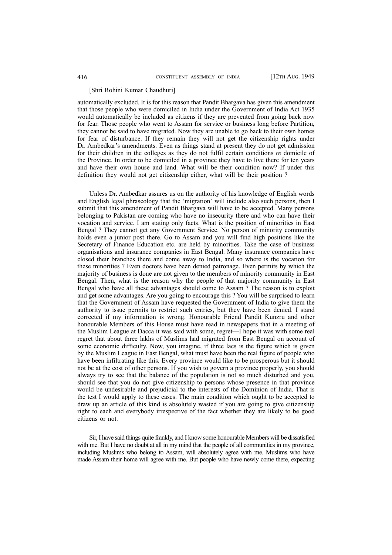#### [Shri Rohini Kumar Chaudhuri]

automatically excluded. It is for this reason that Pandit Bhargava has given this amendment that those people who were domiciled in India under the Government of India Act 1935 would automatically be included as citizens if they are prevented from going back now for fear. Those people who went to Assam for service or business long before Partition, they cannot be said to have migrated. Now they are unable to go back to their own homes for fear of disturbance. If they remain they will not get the citizenship rights under Dr. Ambedkar's amendments. Even as things stand at present they do not get admission for their children in the colleges as they do not fulfil certain conditions *re* domicile of the Province. In order to be domiciled in a province they have to live there for ten years and have their own house and land. What will be their condition now? If under this definition they would not get citizenship either, what will be their position ?

Unless Dr. Ambedkar assures us on the authority of his knowledge of English words and English legal phraseology that the 'migration' will include also such persons, then I submit that this amendment of Pandit Bhargava will have to be accepted. Many persons belonging to Pakistan are coming who have no insecurity there and who can have their vocation and service. I am stating only facts. What is the position of minorities in East Bengal ? They cannot get any Government Service. No person of minority community holds even a junior post there. Go to Assam and you will find high positions like the Secretary of Finance Education etc. are held by minorities. Take the case of business organisations and insurance companies in East Bengal. Many insurance companies have closed their branches there and come away to India, and so where is the vocation for these minorities ? Even doctors have been denied patronage. Even permits by which the majority of business is done are not given to the members of minority community in East Bengal. Then, what is the reason why the people of that majority community in East Bengal who have all these advantages should come to Assam ? The reason is to exploit and get some advantages. Are you going to encourage this ? You will be surprised to learn that the Government of Assam have requested the Government of India to give them the authority to issue permits to restrict such entries, but they have been denied. I stand corrected if my information is wrong. Honourable Friend Pandit Kunzru and other honourable Members of this House must have read in newspapers that in a meeting of the Muslim League at Dacca it was said with some, regret—I hope it was with some real regret that about three lakhs of Muslims had migrated from East Bengal on account of some economic difficulty. Now, you imagine, if three lacs is the figure which is given by the Muslim League in East Bengal, what must have been the real figure of people who have been infiltrating like this. Every province would like to be prosperous but it should not be at the cost of other persons. If you wish to govern a province properly, you should always try to see that the balance of the population is not so much disturbed and you, should see that you do not give citizenship to persons whose presence in that province would be undesirable and prejudicial to the interests of the Dominion of India. That is the test I would apply to these cases. The main condition which ought to be accepted to draw up an article of this kind is absolutely wasted if you are going to give citizenship right to each and everybody irrespective of the fact whether they are likely to be good citizens or not.

Sir, I have said things quite frankly, and I know some honourable Members will be dissatisfied with me. But I have no doubt at all in my mind that the people of all communities in my province, including Muslims who belong to Assam, will absolutely agree with me. Muslims who have made Assam their home will agree with me. But people who have newly come there, expecting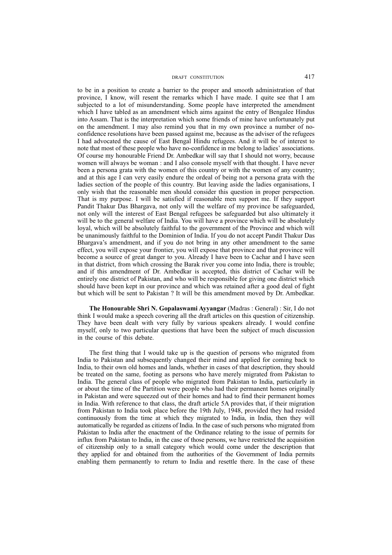to be in a position to create a barrier to the proper and smooth administration of that province, I know, will resent the remarks which I have made. I quite see that I am subjected to a lot of misunderstanding. Some people have interpreted the amendment which I have tabled as an amendment which aims against the entry of Bengalee Hindus into Assam. That is the interpretation which some friends of mine have unfortunately put on the amendment. I may also remind you that in my own province a number of noconfidence resolutions have been passed against me, because as the adviser of the refugees I had advocated the cause of East Bengal Hindu refugees. And it will be of interest to note that most of these people who have no-confidence in me belong to ladies' associations. Of course my honourable Friend Dr. Ambedkar will say that I should not worry, because women will always be woman : and I also console myself with that thought. I have never been a persona grata with the women of this country or with the women of any country; and at this age I can very easily endure the ordeal of being not a persona grata with the ladies section of the people of this country. But leaving aside the ladies organisations, I only wish that the reasonable men should consider this question in proper perspection. That is my purpose. I will be satisfied if reasonable men support me. If they support Pandit Thakur Das Bhargava, not only will the welfare of my province be safeguarded, not only will the interest of East Bengal refugees be safeguarded but also ultimately it will be to the general welfare of India. You will have a province which will be absolutely loyal, which will be absolutely faithful to the government of the Province and which will be unanimously faithful to the Dominion of India. If you do not accept Pandit Thakur Das Bhargava's amendment, and if you do not bring in any other amendment to the same effect, you will expose your frontier, you will expose that province and that province will become a source of great danger to you. Already I have been to Cachar and I have seen in that district, from which crossing the Barak river you come into India, there is trouble; and if this amendment of Dr. Ambedkar is accepted, this district of Cachar will be entirely one district of Pakistan, and who will be responsible for giving one district which should have been kept in our province and which was retained after a good deal of fight but which will be sent to Pakistan ? It will be this amendment moved by Dr. Ambedkar.

**The Honourable Shri N. Gopalaswami Ayyangar** (Madras : General) : Sir, I do not think I would make a speech covering all the draft articles on this question of citizenship. They have been dealt with very fully by various speakers already. I would confine myself, only to two particular questions that have been the subject of much discussion in the course of this debate.

The first thing that I would take up is the question of persons who migrated from India to Pakistan and subsequently changed their mind and applied for coming back to India, to their own old homes and lands, whether in cases of that description, they should be treated on the same, footing as persons who have merely migrated from Pakistan to India. The general class of people who migrated from Pakistan to India, particularly in or about the time of the Partition were people who had their permanent homes originally in Pakistan and were squeezed out of their homes and had to find their permanent homes in India. With reference to that class, the draft article 5A provides that, if their migration from Pakistan to India took place before the 19th July, 1948, provided they had resided continuously from the time at which they migrated to India, in India, then they will automatically be regarded as citizens of India. In the case of such persons who migrated from Pakistan to India after the enactment of the Ordinance relating to the issue of permits for influx from Pakistan to India, in the case of those persons, we have restricted the acquisition of citizenship only to a small category which would come under the description that they applied for and obtained from the authorities of the Government of India permits enabling them permanently to return to India and resettle there. In the case of these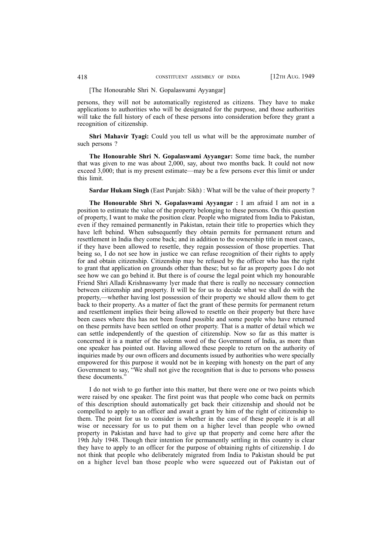#### [The Honourable Shri N. Gopalaswami Ayyangar]

persons, they will not be automatically registered as citizens. They have to make applications to authorities who will be designated for the purpose, and those authorities will take the full history of each of these persons into consideration before they grant a recognition of citizenship.

**Shri Mahavir Tyagi:** Could you tell us what will be the approximate number of such persons ?

**The Honourable Shri N. Gopalaswami Ayyangar:** Some time back, the number that was given to me was about 2,000, say, about two months back. It could not now exceed 3,000; that is my present estimate—may be a few persons ever this limit or under this limit.

**Sardar Hukam Singh** (East Punjab: Sikh) : What will be the value of their property ?

**The Honourable Shri N. Gopalaswami Ayyangar :** I am afraid I am not in a position to estimate the value of the property belonging to these persons. On this question of property, I want to make the position clear. People who migrated from India to Pakistan, even if they remained permanently in Pakistan, retain their title to properties which they have left behind. When subsequently they obtain permits for permanent return and resettlement in India they come back; and in addition to the ownership title in most cases, if they have been allowed to resettle, they regain possession of those properties. That being so, I do not see how in justice we can refuse recognition of their rights to apply for and obtain citizenship. Citizenship may be refused by the officer who has the right to grant that application on grounds other than these; but so far as property goes I do not see how we can go behind it. But there is of course the legal point which my honourable Friend Shri Alladi Krishnaswamy lyer made that there is really no necessary connection between citizenship and property. It will be for us to decide what we shall do with the property,—whether having lost possession of their property we should allow them to get back to their property. As a matter of fact the grant of these permits for permanent return and resettlement implies their being allowed to resettle on their property but there have been cases where this has not been found possible and some people who have returned on these permits have been settled on other property. That is a matter of detail which we can settle independently of the question of citizenship. Now so far as this matter is concerned it is a matter of the solemn word of the Government of India, as more than one speaker has pointed out. Having allowed these people to return on the authority of inquiries made by our own officers and documents issued by authorities who were specially empowered for this purpose it would not be in keeping with honesty on the part of any Government to say, "We shall not give the recognition that is due to persons who possess these documents."

I do not wish to go further into this matter, but there were one or two points which were raised by one speaker. The first point was that people who come back on permits of this description should automatically get back their citizenship and should not be compelled to apply to an officer and await a grant by him of the right of citizenship to them. The point for us to consider is whether in the case of these people it is at all wise or necessary for us to put them on a higher level than people who owned property in Pakistan and have had to give up that property and come here after the 19th July 1948. Though their intention for permanently settling in this country is clear they have to apply to an officer for the purpose of obtaining rights of citizenship. I do not think that people who deliberately migrated from India to Pakistan should be put on a higher level ban those people who were squeezed out of Pakistan out of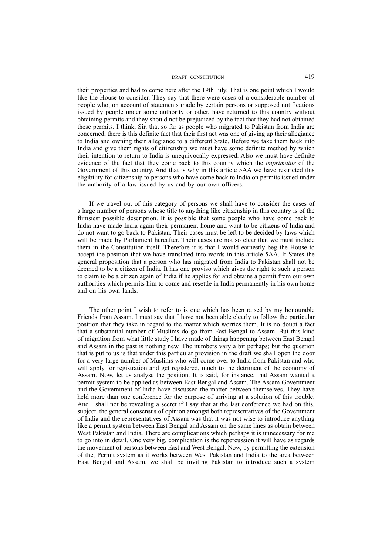their properties and had to come here after the 19th July. That is one point which I would like the House to consider. They say that there were cases of a considerable number of people who, on account of statements made by certain persons or supposed notifications issued by people under some authority or other, have returned to this country without obtaining permits and they should not be prejudiced by the fact that they had not obtained these permits. I think, Sir, that so far as people who migrated to Pakistan from India are concerned, there is this definite fact that their first act was one of giving up their allegiance to India and owning their allegiance to a different State. Before we take them back into India and give them rights of citizenship we must have some definite method by which their intention to return to India is unequivocally expressed. Also we must have definite evidence of the fact that they come back to this country which the *imprimatur* of the Government of this country. And that is why in this article 5AA we have restricted this eligibility for citizenship to persons who have come back to India on permits issued under the authority of a law issued by us and by our own officers.

If we travel out of this category of persons we shall have to consider the cases of a large number of persons whose title to anything like citizenship in this country is of the flimsiest possible description. It is possible that some people who have come back to India have made India again their permanent home and want to be citizens of India and do not want to go back to Pakistan. Their cases must be left to be decided by laws which will be made by Parliament hereafter. Their cases are not so clear that we must include them in the Constitution itself. Therefore it is that I would earnestly beg the House to accept the position that we have translated into words in this article 5AA. It States the general proposition that a person who has migrated from India to Pakistan shall not be deemed to be a citizen of India. It has one proviso which gives the right to such a person to claim to be a citizen again of India if he applies for and obtains a permit from our own authorities which permits him to come and resettle in India permanently in his own home and on his own lands.

The other point I wish to refer to is one which has been raised by my honourable Friends from Assam. I must say that I have not been able clearly to follow the particular position that they take in regard to the matter which worries them. It is no doubt a fact that a substantial number of Muslims do go from East Bengal to Assam. But this kind of migration from what little study I have made of things happening between East Bengal and Assam in the past is nothing new. The numbers vary a bit perhaps; but the question that is put to us is that under this particular provision in the draft we shall open the door for a very large number of Muslims who will come over to India from Pakistan and who will apply for registration and get registered, much to the detriment of the economy of Assam. Now, let us analyse the position. It is said, for instance, that Assam wanted a permit system to be applied as between East Bengal and Assam. The Assam Government and the Government of India have discussed the matter between themselves. They have held more than one conference for the purpose of arriving at a solution of this trouble. And I shall not be revealing a secret if I say that at the last conference we had on this, subject, the general consensus of opinion amongst both representatives of the Government of India and the representatives of Assam was that it was not wise to introduce anything like a permit system between East Bengal and Assam on the same lines as obtain between West Pakistan and India. There are complications which perhaps it is unnecessary for me to go into in detail. One very big, complication is the repercussion it will have as regards the movement of persons between East and West Bengal. Now, by permitting the extension of the, Permit system as it works between West Pakistan and India to the area between East Bengal and Assam, we shall be inviting Pakistan to introduce such a system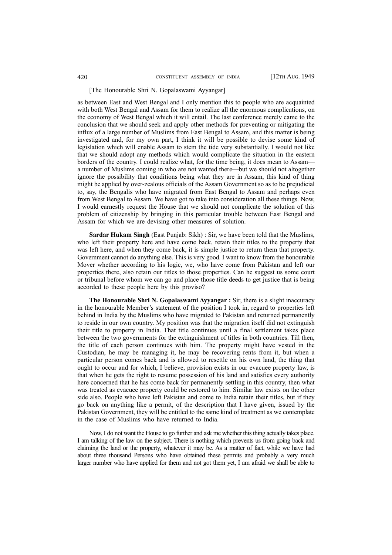## [The Honourable Shri N. Gopalaswami Ayyangar]

as between East and West Bengal and I only mention this to people who are acquainted with both West Bengal and Assam for them to realize all the enormous complications, on the economy of West Bengal which it will entail. The last conference merely came to the conclusion that we should seek and apply other methods for preventing or mitigating the influx of a large number of Muslims from East Bengal to Assam, and this matter is being investigated and, for my own part, I think it will be possible to devise some kind of legislation which will enable Assam to stem the tide very substantially. I would not like that we should adopt any methods which would complicate the situation in the eastern borders of the country. I could realize what, for the time being, it does mean to Assam a number of Muslims coming in who are not wanted there—but we should not altogether ignore the possibility that conditions being what they are in Assam, this kind of thing might be applied by over-zealous officials of the Assam Government so as to be prejudicial to, say, the Bengalis who have migrated from East Bengal to Assam and perhaps even from West Bengal to Assam. We have got to take into consideration all these things. Now, I would earnestly request the House that we should not complicate the solution of this problem of citizenship by bringing in this particular trouble between East Bengal and Assam for which we are devising other measures of solution.

**Sardar Hukam Singh** (East Punjab: Sikh) : Sir, we have been told that the Muslims, who left their property here and have come back, retain their titles to the property that was left here, and when they come back, it is simple justice to return them that property. Government cannot do anything else. This is very good. I want to know from the honourable Mover whether according to his logic, we, who have come from Pakistan and left our properties there, also retain our titles to those properties. Can he suggest us some court or tribunal before whom we can go and place those title deeds to get justice that is being accorded to these people here by this proviso?

**The Honourable Shri N. Gopalaswami Ayyangar :** Sir, there is a slight inaccuracy in the honourable Member's statement of the position I took in, regard to properties left behind in India by the Muslims who have migrated to Pakistan and returned permanently to reside in our own country. My position was that the migration itself did not extinguish their title to property in India. That title continues until a final settlement takes place between the two governments for the extinguishment of titles in both countries. Till then, the title of each person continues with him. The property might have vested in the Custodian, he may be managing it, he may be recovering rents from it, but when a particular person comes back and is allowed to resettle on his own land, the thing that ought to occur and for which, I believe, provision exists in our evacuee property law, is that when he gets the right to resume possession of his land and satisfies every authority here concerned that he has come back for permanently settling in this country, then what was treated as evacuee property could be restored to him. Similar law exists on the other side also. People who have left Pakistan and come to India retain their titles, but if they go back on anything like a permit, of the description that I have given, issued by the Pakistan Government, they will be entitled to the same kind of treatment as we contemplate in the case of Muslims who have returned to India.

Now, I do not want the House to go further and ask me whether this thing actually takes place. I am talking of the law on the subject. There is nothing which prevents us from going back and claiming the land or the property, whatever it may be. As a matter of fact, while we have had about three thousand Persons who have obtained these permits and probably a very much larger number who have applied for them and not got them yet, I am afraid we shall be able to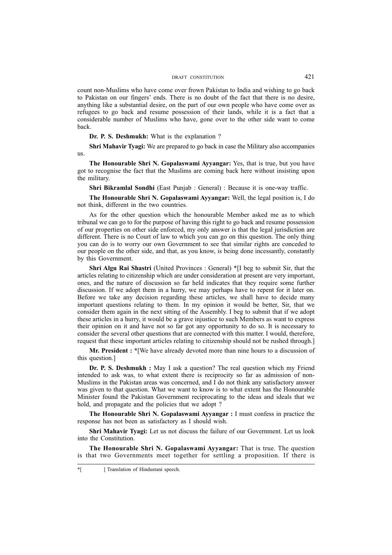count non-Muslims who have come over frown Pakistan to India and wishing to go back to Pakistan on our fingers' ends. There is no doubt of the fact that there is no desire, anything like a substantial desire, on the part of our own people who have come over as refugees to go back and resume possession of their lands, while it is a fact that a considerable number of Muslims who have, gone over to the other side want to come back.

**Dr. P. S. Deshmukh:** What is the explanation ?

**Shri Mahavir Tyagi:** We are prepared to go back in case the Military also accompanies us.

**The Honourable Shri N. Gopalaswami Ayyangar:** Yes, that is true, but you have got to recognise the fact that the Muslims are coming back here without insisting upon the military.

**Shri Bikramlal Sondhi** (East Punjab : General) : Because it is one-way traffic.

**The Honourable Shri N. Gopalaswami Ayyangar:** Well, the legal position is, I do not think, different in the two countries.

As for the other question which the honourable Member asked me as to which tribunal we can go to for the purpose of having this right to go back and resume possession of our properties on other side enforced, my only answer is that the legal jurisdiction are different. There is no Court of law to which you can go on this question. The only thing you can do is to worry our own Government to see that similar rights are conceded to our people on the other side, and that, as you know, is being done incessantly, constantly by this Government.

**Shri Algu Rai Shastri** (United Provinces : General) \*[I beg to submit Sir, that the articles relating to citizenship which are under consideration at present are very important, ones, and the nature of discussion so far held indicates that they require some further discussion. If we adopt them in a hurry, we may perhaps have to repent for it later on. Before we take any decision regarding these articles, we shall have to decide many important questions relating to them. In my opinion it would be better, Sir, that we consider them again in the next sitting of the Assembly. I beg to submit that if we adopt these articles in a hurry, it would be a grave injustice to such Members as want to express their opinion on it and have not so far got any opportunity to do so. It is necessary to consider the several other questions that are connected with this matter. I would, therefore, request that these important articles relating to citizenship should not be rushed through.]

**Mr. President :** \*[We have already devoted more than nine hours to a discussion of this question.]

**Dr. P. S. Deshmukh :** May I ask a question? The real question which my Friend intended to ask was, to what extent there is reciprocity so far as admission of non-Muslims in the Pakistan areas was concerned, and I do not think any satisfactory answer was given to that question. What we want to know is to what extent has the Honourable Minister found the Pakistan Government reciprocating to the ideas and ideals that we hold, and propagate and the policies that we adopt?

**The Honourable Shri N. Gopalaswami Ayyangar :** I must confess in practice the response has not been as satisfactory as I should wish.

**Shri Mahavir Tyagi:** Let us not discuss the failure of our Government. Let us look into the Constitution.

**The Honourable Shri N. Gopalaswami Ayyangar:** That is true. The question is that two Governments meet together for settling a proposition. If there is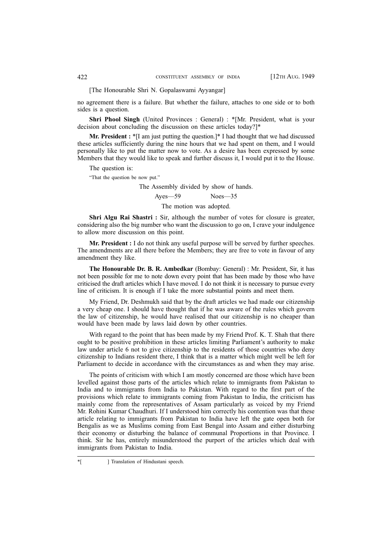[The Honourable Shri N. Gopalaswami Ayyangar]

no agreement there is a failure. But whether the failure, attaches to one side or to both sides is a question.

Shri Phool Singh (United Provinces : General) : \*[Mr. President, what is your decision about concluding the discussion on these articles today?]\*

**Mr. President :** \*[I am just putting the question.]\* I had thought that we had discussed these articles sufficiently during the nine hours that we had spent on them, and I would personally like to put the matter now to vote. As a desire has been expressed by some Members that they would like to speak and further discuss it, I would put it to the House.

The question is:

"That the question be now put."

The Assembly divided by show of hands. Ayes—59 Noes—35 The motion was adopted.

**Shri Algu Rai Shastri :** Sir, although the number of votes for closure is greater, considering also the big number who want the discussion to go on, I crave your indulgence to allow more discussion on this point.

**Mr. President :** I do not think any useful purpose will be served by further speeches. The amendments are all there before the Members; they are free to vote in favour of any amendment they like.

**The Honourable Dr. B. R. Ambedkar** (Bombay: General) : Mr. President, Sir, it has not been possible for me to note down every point that has been made by those who have criticised the draft articles which I have moved. I do not think it is necessary to pursue every line of criticism. It is enough if I take the more substantial points and meet them.

My Friend, Dr. Deshmukh said that by the draft articles we had made our citizenship a very cheap one. I should have thought that if he was aware of the rules which govern the law of citizenship, he would have realised that our citizenship is no cheaper than would have been made by laws laid down by other countries.

With regard to the point that has been made by my Friend Prof. K. T. Shah that there ought to be positive prohibition in these articles limiting Parliament's authority to make law under article 6 not to give citizenship to the residents of those countries who deny citizenship to Indians resident there, I think that is a matter which might well be left for Parliament to decide in accordance with the circumstances as and when they may arise.

The points of criticism with which I am mostly concerned are those which have been levelled against those parts of the articles which relate to immigrants from Pakistan to India and to immigrants from India to Pakistan. With regard to the first part of the provisions which relate to immigrants coming from Pakistan to India, the criticism has mainly come from the representatives of Assam particularly as voiced by my Friend Mr. Rohini Kumar Chaudhuri. If I understood him correctly his contention was that these article relating to immigrants from Pakistan to India have left the gate open both for Bengalis as we as Muslims coming from East Bengal into Assam and either disturbing their economy or disturbing the balance of communal Proportions in that Province. I think. Sir he has, entirely misunderstood the purport of the articles which deal with immigrants from Pakistan to India.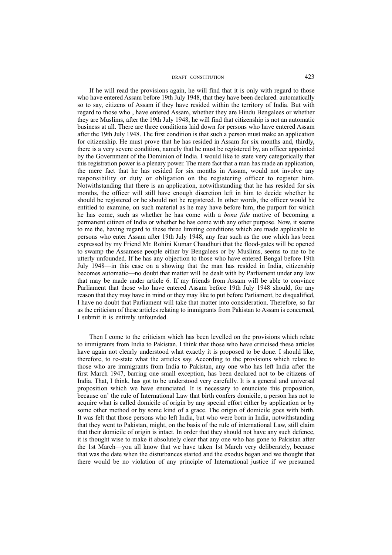If he will read the provisions again, he will find that it is only with regard to those who have entered Assam before 19th July 1948, that they have been declared. automatically so to say, citizens of Assam if they have resided within the territory of India. But with regard to those who , have entered Assam, whether they are Hindu Bengalees or whether they are Muslims, after the 19th July 1948, he will find that citizenship is not an automatic business at all. There are three conditions laid down for persons who have entered Assam after the 19th July 1948. The first condition is that such a person must make an application for citizenship. He must prove that he has resided in Assam for six months and, thirdly, there is a very severe condition, namely that he must be registered by, an officer appointed by the Government of the Dominion of India. I would like to state very categorically that this registration power is a plenary power. The mere fact that a man has made an application, the mere fact that he has resided for six months in Assam, would not involve any responsibility or duty or obligation on the registering officer to register him. Notwithstanding that there is an application, notwithstanding that he has resided for six months, the officer will still have enough discretion left in him to decide whether he should be registered or he should not be registered. In other words, the officer would be entitled to examine, on such material as he may have before him, the purport for which he has come, such as whether he has come with a *bona fide* motive of becoming a permanent citizen of India or whether he has come with any other purpose. Now, it seems to me the, having regard to these three limiting conditions which are made applicable to persons who enter Assam after 19th July 1948, any fear such as the one which has been expressed by my Friend Mr. Rohini Kumar Chaudhuri that the flood-gates will be opened to swamp the Assamese people either by Bengalees or by Muslims, seems to me to be utterly unfounded. If he has any objection to those who have entered Bengal before 19th July 1948—in this case on a showing that the man has resided in India, citizenship becomes automatic—no doubt that matter will be dealt with by Parliament under any law that may be made under article 6. If my friends from Assam will be able to convince Parliament that those who have entered Assam before 19th July 1948 should, for any reason that they may have in mind or they may like to put before Parliament, be disqualified, I have no doubt that Parliament will take that matter into consideration. Therefore, so far as the criticism of these articles relating to immigrants from Pakistan to Assam is concerned, I submit it is entirely unfounded.

Then I come to the criticism which has been levelled on the provisions which relate to immigrants from India to Pakistan. I think that those who have criticised these articles have again not clearly understood what exactly it is proposed to be done. I should like, therefore, to re-state what the articles say. According to the provisions which relate to those who are immigrants from India to Pakistan, any one who has left India after the first March 1947, barring one small exception, has been declared not to be citizens of India. That, I think, has got to be understood very carefully. It is a general and universal proposition which we have enunciated. It is necessary to enunciate this proposition, because on' the rule of International Law that birth confers domicile, a person has not to acquire what is called domicile of origin by any special effort either by application or by some other method or by some kind of a grace. The origin of domicile goes with birth. It was felt that those persons who left India, but who were born in India, notwithstanding that they went to Pakistan, might, on the basis of the rule of international Law, still claim that their domicile of origin is intact. In order that they should not have any such defence, it is thought wise to make it absolutely clear that any one who has gone to Pakistan after the 1st March—you all know that we have taken 1st March very deliberately, because that was the date when the disturbances started and the exodus began and we thought that there would be no violation of any principle of International justice if we presumed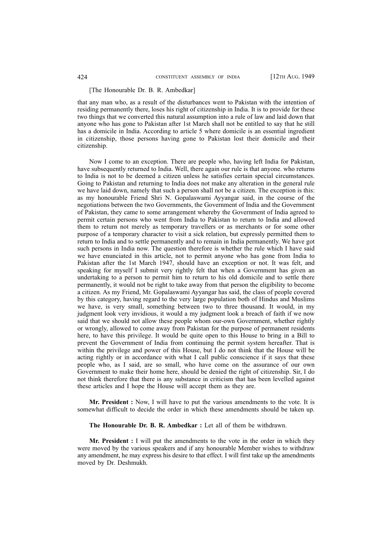#### [The Honourable Dr. B. R. Ambedkar]

that any man who, as a result of the disturbances went to Pakistan with the intention of residing permanently there, loses his right of citizenship in India. It is to provide for these two things that we converted this natural assumption into a rule of law and laid down that anyone who has gone to Pakistan after 1st March shall not be entitled to say that he still has a domicile in India. According to article 5 where domicile is an essential ingredient in citizenship, those persons having gone to Pakistan lost their domicile and their citizenship.

Now I come to an exception. There are people who, having left India for Pakistan, have subsequently returned to India. Well, there again our rule is that anyone. who returns to India is not to be deemed a citizen unless he satisfies certain special circumstances. Going to Pakistan and returning to India does not make any alteration in the general rule we have laid down, namely that such a person shall not be a citizen. The exception is this: as my honourable Friend Shri N. Gopalaswami Ayyangar said, in the course of the negotiations between the two Governments, the Government of India and the Government of Pakistan, they came to some arrangement whereby the Government of India agreed to permit certain persons who went from India to Pakistan to return to India and allowed them to return not merely as temporary travellers or as merchants or for some other purpose of a temporary character to visit a sick relation, but expressly permitted them to return to India and to settle permanently and to remain in India permanently. We have got such persons in India now. The question therefore is whether the rule which I have said we have enunciated in this article, not to permit anyone who has gone from India to Pakistan after the 1st March 1947, should have an exception or not. It was felt, and speaking for myself I submit very rightly felt that when a Government has given an undertaking to a person to permit him to return to his old domicile and to settle there permanently, it would not be right to take away from that person the eligibility to become a citizen. As my Friend, Mr. Gopalaswami Ayyangar has said, the class of people covered by this category, having regard to the very large population both of Hindus and Muslims we have, is very small, something between two to three thousand. It would, in my judgment look very invidious, it would a my judgment look a breach of faith if we now said that we should not allow these people whom our-own Government, whether rightly or wrongly, allowed to come away from Pakistan for the purpose of permanent residents here, to have this privilege. It would be quite open to this House to bring in a Bill to prevent the Government of India from continuing the permit system hereafter. That is within the privilege and power of this House, but I do not think that the House will be acting rightly or in accordance with what I call public conscience if it says that these people who, as I said, are so small, who have come on the assurance of our own Government to make their home here, should be denied the right of citizenship. Sir, I do not think therefore that there is any substance in criticism that has been levelled against these articles and I hope the House will accept them as they are.

**Mr. President :** Now, I will have to put the various amendments to the vote. It is somewhat difficult to decide the order in which these amendments should be taken up.

**The Honourable Dr. B. R. Ambedkar :** Let all of them be withdrawn.

**Mr. President :** I will put the amendments to the vote in the order in which they were moved by the various speakers and if any honourable Member wishes to withdraw any amendment, he may express his desire to that effect. I will first take up the amendments moved by Dr. Deshmukh.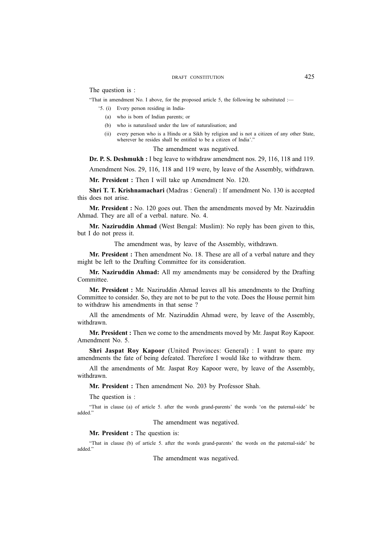The question is :

"That in amendment No. I above, for the proposed article 5, the following be substituted :—

- '5. (i) Every person residing in India-
	- (a) who is born of Indian parents; or
	- (b) who is naturalised under the law of naturalisation; and
	- (ii) every person who is a Hindu or a Sikh by religion and is not a citizen of any other State, wherever he resides shall be entitled to be a citizen of India'.'

The amendment was negatived.

**Dr. P. S. Deshmukh :** I beg leave to withdraw amendment nos. 29, 116, 118 and 119.

Amendment Nos. 29, 116, 118 and 119 were, by leave of the Assembly, withdrawn.

**Mr. President :** Then I will take up Amendment No. 120.

**Shri T. T. Krishnamachari** (Madras : General) : If amendment No. 130 is accepted this does not arise.

**Mr. President :** No. 120 goes out. Then the amendments moved by Mr. Naziruddin Ahmad. They are all of a verbal. nature. No. 4.

**Mr. Naziruddin Ahmad** (West Bengal: Muslim): No reply has been given to this, but I do not press it.

The amendment was, by leave of the Assembly, withdrawn.

**Mr. President :** Then amendment No. 18. These are all of a verbal nature and they might be left to the Drafting Committee for its consideration.

**Mr. Naziruddin Ahmad:** All my amendments may be considered by the Drafting Committee.

**Mr. President :** Mr. Naziruddin Ahmad leaves all his amendments to the Drafting Committee to consider. So, they are not to be put to the vote. Does the House permit him to withdraw his amendments in that sense ?

All the amendments of Mr. Naziruddin Ahmad were, by leave of the Assembly, withdrawn.

**Mr. President :** Then we come to the amendments moved by Mr. Jaspat Roy Kapoor. Amendment No. 5.

**Shri Jaspat Roy Kapoor** (United Provinces: General) : I want to spare my amendments the fate of being defeated. Therefore I would like to withdraw them.

All the amendments of Mr. Jaspat Roy Kapoor were, by leave of the Assembly, withdrawn.

**Mr. President :** Then amendment No. 203 by Professor Shah.

The question is :

"That in clause (a) of article 5. after the words grand-parents' the words 'on the paternal-side' be added."

The amendment was negatived.

**Mr. President :** The question is:

"That in clause (b) of article 5. after the words grand-parents' the words on the paternal-side' be added."

The amendment was negatived.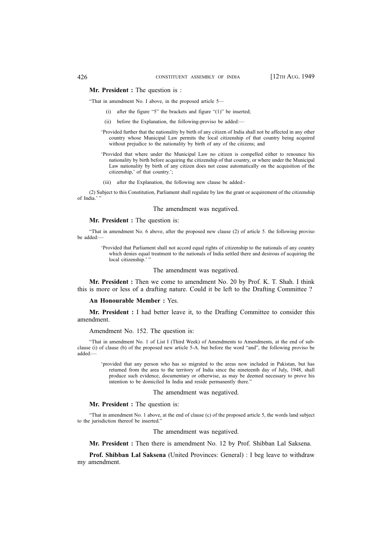## **Mr. President :** The question is :

"That in amendment No. I above, in the proposed article 5—

- (i) after the figure "5" the brackets and figure "(1)" be inserted;
- (ii) before the Explanation, the following-proviso be added:—
- 'Provided further that the nationality by birth of any citizen of India shall not be affected in any other country whose Municipal Law permits the local citizenship of that country being acquired without prejudice to the nationality by birth of any of the citizens; and
- 'Provided that where under the Municipal Law no citizen is compelled either to renounce his nationality by birth before acquiring the citizenship of that country, or where under the Municipal Law nationality by birth of any citizen does not cease automatically on the acquisition of the citizenship,' of that country.';
- (iii) after the Explanation, the following new clause be added:-

(2) Subject to this Constitution, Parliament shall regulate by law the grant or acquirement of the citizenship of India.''

#### The amendment was negatived.

#### **Mr. President :** The question is:

"That in amendment No. 6 above, after the proposed new clause (2) of article 5. the following proviso be added:—

> 'Provided that Parliament shall not accord equal rights of citizenship to the nationals of any country which denies equal treatment to the nationals of India settled there and desirous of acquiring the local citizenship.'

#### The amendment was negatived.

**Mr. President :** Then we come to amendment No. 20 by Prof. K. T. Shah. I think this is more or less of a drafting nature. Could it be left to the Drafting Committee ?

#### **An Honourable Member :** Yes.

**Mr. President :** I had better leave it, to the Drafting Committee to consider this amendment.

#### Amendment No. 152. The question is:

"That in amendment No. 1 of List I (Third Week) of Amendments to Amendments, at the end of subclause (i) of clause (b) of the proposed new article 5-A. but before the word "and", the following proviso be added:—

'provided that any person who has so migrated to the areas now included in Pakistan, but has returned from the area to the territory of India since the nineteenth day of July, 1948, shall produce such evidence, documentary or otherwise, as may be deemed necessary to prove his intention to be domiciled In India and reside permanently there."

The amendment was negatived.

#### **Mr. President :** The question is:

"That in amendment No. 1 above, at the end of clause (c) of the proposed article 5, the words land subject to the jurisdiction thereof be inserted."

The amendment was negatived.

**Mr. President :** Then there is amendment No. 12 by Prof. Shibban Lal Saksena.

**Prof. Shibban Lal Saksena** (United Provinces: General) : I beg leave to withdraw my amendment.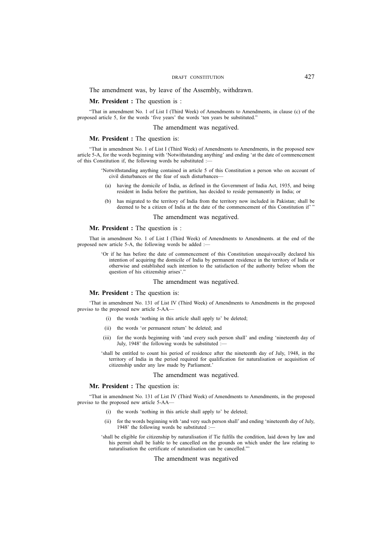The amendment was, by leave of the Assembly, withdrawn.

#### **Mr. President :** The question is :

"That in amendment No. 1 of List I (Third Week) of Amendments to Amendments, in clause (c) of the proposed article 5, for the words 'five years' the words 'ten years be substituted."

#### The amendment was negatived.

#### **Mr. President :** The question is:

"That in amendment No. 1 of List I (Third Week) of Amendments to Amendments, in the proposed new article 5-A, for the words beginning with 'Notwithstanding anything' and ending 'at the date of commencement of this Constitution if, the following words be substituted :—

- 'Notwithstanding anything contained in article 5 of this Constitution a person who on account of civil disturbances or the fear of such disturbances—
- (a) having the domicile of India, as defined in the Government of India Act, 1935, and being resident in India before the partition, has decided to reside permanently in India; or
- (b) has migrated to the territory of India from the territory now included in Pakistan; shall be deemed to be a citizen of India at the date of the commencement of this Constitution if' "

#### The amendment was negatived.

## **Mr. President :** The question is :

That in amendment No. 1 of List I (Third Week) of Amendments to Amendments. at the end of the proposed new article 5-A, the following words be added :-

> 'Or if he has before the date of commencement of this Constitution unequivocally declared his intention of acquiring the domicile of India by permanent residence in the territory of India or otherwise and established such intention to the satisfaction of the authority before whom the question of his citizenship arises'."

#### The amendment was negatived.

#### **Mr. President :** The question is:

'That in amendment No. 131 of List IV (Third Week) of Amendments to Amendments in the proposed proviso to the proposed new article 5-AA—

- (i) the words 'nothing in this article shall apply to' be deleted;
- (ii) the words 'or permanent return' be deleted; and
- (iii) for the words beginning with 'and every such person shall' and ending 'nineteenth day of July, 1948' the following words be substituted :-

'shall be entitled to count his period of residence after the nineteenth day of July, 1948, in the territory of India in the period required for qualification for naturalisation or acquisition of citizenship under any law made by Parliament.'

#### The amendment was negatived.

#### **Mr. President :** The question is:

"That in amendment No. 131 of List IV (Third Week) of Amendments to Amendments, in the proposed proviso to the proposed new article 5-AA—

- the words 'nothing in this article shall apply to' be deleted;
- (ii) for the words beginning with 'and very such person shall' and ending 'nineteenth day of July, 1948' the following words be substituted :-
- 'shall be eligible for citizenship by naturalisation if Tie fulfils the condition, laid down by law and his permit shall be liable to be cancelled on the grounds on which under the law relating to naturalisation the certificate of naturalisation can be cancelled."'

#### The amendment was negatived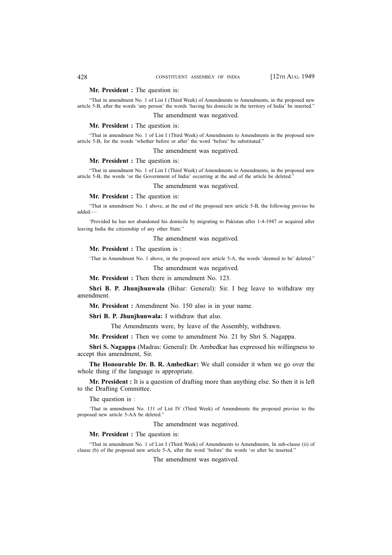## **Mr. President :** The question is:

"That in amendment No. 1 of List I (Third Week) of Amendments to Amendments, in the proposed new article 5-B, after the words 'any person' the words 'having his domicile in the territory of India' be inserted."

The amendment was negatived.

## **Mr. President :** The question is:

"That in amendment No. 1 of List I (Third Week) of Amendments to Amendments in the proposed new article 5-B, for the words 'whether before or after' the word 'before' be substituted."

The amendment was negatived.

#### **Mr. President :** The question is:

"That in amendment No. 1 of List I (Third Week) of Amendments to Amendments, in the proposed new article 5-B, the words 'or the Government of India' occurring at the and of the article be deleted."

The amendment was negatived.

## **Mr. President :** The question is:

"That in amendment No. 1 above, at the end of the proposed new article 5-B, the following proviso be added:—

'Provided he has not abandoned his domicile by migrating to Pakistan after 1-4-1947 or acquired after leaving India the citizenship of any other State."

The amendment was negatived.

**Mr. President :** The question is :

'That in Amendment No. 1 above, in the proposed new article 5-A, the words 'deemed to be' deleted."

The amendment was negatived.

**Mr. President :** Then there is amendment No. 123.

**Shri B. P. Jhunjhunwala** (Bihar: General): Sir. I beg leave to withdraw my amendment.

**Mr. President :** Amendment No. 150 also is in your name.

**Shri B. P. Jhunjhunwala:** I withdraw that also.

The Amendments were, by leave of the Assembly, withdrawn.

**Mr. President :** Then we come to amendment No. 21 by Shri S. Nagappa.

**Shri S. Nagappa** (Madras: General): Dr. Ambedkar has expressed his willingness to accept this amendment, Sir.

**The Honourable Dr. B. R. Ambedkar:** We shall consider it when we go over the whole thing if the language is appropriate.

**Mr. President :** It is a question of drafting more than anything else. So then it is left to the Drafting Committee.

The question is :

'That in amendment No. 131 of List IV (Third Week) of Amendments the proposed proviso to the proposed new article 5-AA be deleted."

The amendment was negatived.

#### **Mr. President :** The question is:

"That in amendment No. 1 of List I (Third Week) of Amendments to Amendments, In sub-clause (ii) of clause (b) of the proposed new article 5-A, after the word 'before' the words 'or after be inserted."

The amendment was negatived.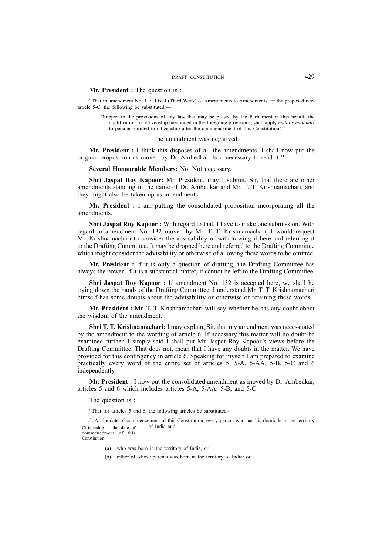## **Mr. President :** The question is :

"That in amendment No. 1 of List I (Third Week) of Amendments to Amendments for the proposed new article 5-C, the following be substituted:—

'Subject to the provisions of any law that may be passed by the Parliament in this behalf, the qualification for citizenship mentioned in the foregoing provisions, shall apply *mutatis mutandis* to persons entitled to citizenship after the commencement of this Constitution'."

The amendment was negatived.

**Mr. President :** I think this disposes of all the amendments. I shall now put the original proposition as moved by Dr. Ambedkar. Is it necessary to read it ?

**Several Honourable Members:** No. Not necessary.

**Shri Jaspat Roy Kapoor:** Mr. President, may I submit, Sir, that there are other amendments standing in the name of Dr. Ambedkar and Mr. T. T. Krishnamachari, and they might also be taken up as amendments.

**Mr. President :** I am putting the consolidated proposition incorporating all the amendments.

**Shri Jaspat Roy Kapoor :** With regard to that, I have to make one submission. With regard to amendment No. 132 moved by Mr. T. T. Krishnamachari, I would request Mr. Krishnamachari to consider the advisability of withdrawing it here and referring it to the Drafting Committee. It may be dropped here and referred to the Drafting Committee which might consider the advisability or otherwise of allowing these words to be omitted.

**Mr. President :** If it is only a question of drafting, the Drafting Committee has always the power. If it is a substantial matter, it cannot be left to the Drafting Committee.

**Shri Jaspat Roy Kapoor :** If amendment No. 132 is accepted here, we shall be trying down the hands of the Drafting Committee. I understand Mr. T. T. Krishnamachari himself has some doubts about the advisability or otherwise of retaining these words.

**Mr. President :** Mr. T. T. Krishnamachari will say whether he has any doubt about the wisdom of the amendment.

**Shri T. T. Krishnamachari:** I may explain, Sir, that my amendment was necessitated by the amendment to the wording of article 6. If necessary this matter will no doubt be examined further. I simply said I shall put Mr. Jaspat Roy Kapoor's views before the Drafting Committee. That does not, mean that I have any doubts in the matter. We have provided for this contingency in article 6. Speaking for myself I am prepared to examine practically every word of the entire set of articles 5, 5-A, 5-AA, 5-B, 5-C and 6 independently.

**Mr. President :** I now put the consolidated amendment as moved by Dr. Ambedkar, articles 5 and 6 which includes articles 5-A, 5-AA, 5-B, and 5-C.

The question is :

"That for articles 5 and 6, the following articles be substituted:-

5. At the date of commencement of this Constitution, every person who has his domicile in the territory of India and— Citizenship at the date of commencement of this

Constitution.

- (a) who was born in the territory of India, or
- (b) either of whose parents was born in the territory of India: or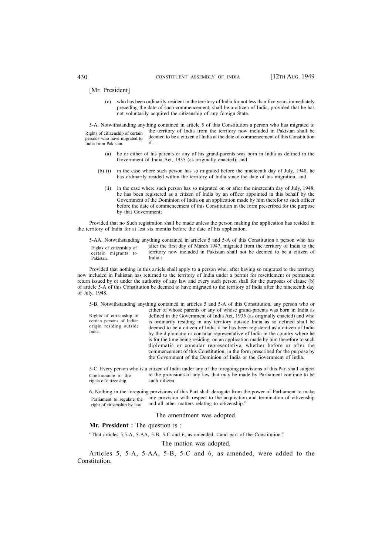#### [Mr. President]

(c) who has been ordinarily resident in the territory of India for not less than five years immediately preceding the date of such commencement, shall be a citizen of India, provided that he has not voluntarily acquired the citizenship of any foreign State.

5-A. Notwithstanding anything contained in article 5 of this Constitution a person who has migrated to the territory of India from the territory now included in Pakistan shall be deemed to be a citizen of India at the date of commencement of this Constitution if— Rights of citizenship of certain persons who have migrated to India from Pakistan.

- (a) he or either of his parents or any of his grand-parents was born in India as defined in the Government of India Act, 1935 (as originally enacted); and
- (b) (i) in the case where such person has so migrated before the nineteenth day of July, 1948, he has ordinarily resided within the territory of India since the date of his migration, and
	- (ii) in the case where such person has so migrated on or after the nineteenth day of July, 1948, he has been registered as a citizen of India by an officer appointed in this behalf by the Government of the Dominion of India on an application made by him therefor to such officer before the date of commencement of this Constitution in the form prescribed for the purpose by that Government;

Provided that no Such registration shall be made unless the person making the application has resided in the territory of India for at lest six months before the date of his application.

|                          | 5-AA. Notwithstanding anything contained in articles 5 and 5-A of this Constitution a person who has |
|--------------------------|------------------------------------------------------------------------------------------------------|
| Rights of citizenship of | after the first day of March 1947, migrated from the territory of India to the                       |
| certain migrants to      | territory now included in Pakistan shall not be deemed to be a citizen of                            |
| Pakistan.                | India :                                                                                              |

Provided that nothing in this article shall apply to a person who, after having so migrated to the territory now included in Pakistan has returned to the territory of India under a permit for resettlement or permanent return issued by or under the authority of any law and every such person shall for the purposes of clause (b) of article 5-A of this Constitution be deemed to have migrated to the territory of India after the nineteenth day of July, 1948.

5-B. Notwithstanding anything contained in articles 5 and 5-A of this Constitution, any person who or either of whose parents or any of whose grand-parents was born in India as defined in the Government of India Act, 1935 (as originally enacted) and who is ordinarily residing in any territory outside India as so defined shall be deemed to be a citizen of India if he has been registered as a citizen of India by the diplomatic or consular representative of India in the country where he is for the time being residing on an application made by him therefore to such diplomatic or consular representative, whether before or after the commencement of this Constitution, in the form prescribed for the purpose by the Government of the Dominion of India or the Government of India. Rights of citizenship of certian persons of Indian origin residing outside India.

5-C. Every person who is a citizen of India under any of the foregoing provisions of this Part shall subject to the provisions of any law that may be made by Parliament continue to be such citizen. Continuance of the rights of citizenship.

6. Nothing in the foregoing provisions of this Part shall derogate from the power of Parliament to make any provision with respect to the acquisition and termination of citizenship and all other matters relating to citizenship." Parliament to regulate the right of citizenship by law.

#### The amendment was adopted.

**Mr. President :** The question is :

"That articles 5,5-A, 5-AA, 5-B, 5-C and 6, as amended, stand part of the Constitution."

## The motion was adopted.

Articles 5, 5-A, 5-AA, 5-B, 5-C and 6, as amended, were added to the Constitution.